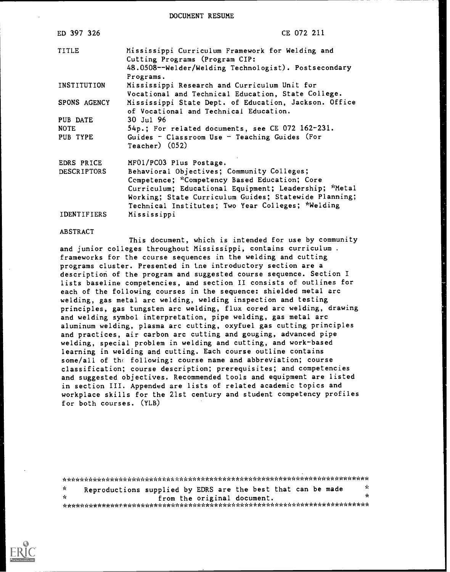DOCUMENT RESUME

| ED 397 326         | CE 072 211                                                                                         |
|--------------------|----------------------------------------------------------------------------------------------------|
| TITLE              | Mississippi Curriculum Framework for Welding and<br>Cutting Programs (Program CIP:                 |
|                    | 48.0508--Welder/Welding Technologist). Postsecondary<br>Programs.                                  |
| INSTITUTION        | Mississippi Research and Curriculum Unit for<br>Vocational and Technical Education, State College. |
| SPONS AGENCY       | Mississippi State Dept. of Education, Jackson. Office<br>of Vocational and Technical Education.    |
| PUB DATE           | 30 Jul 96                                                                                          |
| <b>NOTE</b>        | 54p.; For related documents, see CE 072 162-231.                                                   |
| PUB TYPE           | Guides - Classroom Use - Teaching Guides (For<br>$Teacher)$ $(052)$                                |
| EDRS PRICE         | MF01/PC03 Plus Postage.                                                                            |
| <b>DESCRIPTORS</b> | Behavioral Objectives; Community Colleges;                                                         |
|                    | Competence; *Competency Based Education; Core                                                      |
|                    | Curriculum; Educational Equipment; Leadership; "Metal                                              |
|                    | Working; State Curriculum Guides; Statewide Planning;                                              |
|                    | Technical Institutes; Two Year Colleges; *Welding                                                  |
| <b>IDENTIFIERS</b> | Mississippi                                                                                        |

#### ABSTRACT

This document, which is intended for use by community and junior colleges throughout Mississippi, contains curriculum . frameworks for the ccurse sequences in the welding and cutting programs cluster. Presented in tne introductory section are a description of the program and suggested course sequence. Section I lists baseline competencies, and section II consists of outlines for each of the following courses in the sequence: shielded metal arc welding, gas metal arc welding, welding inspection and testing principles, gas tungsten arc welding, flux cored arc welding, drawing and welding symbol interpretation, pipe welding, gas metal arc aluminum welding, plasma arc cutting, oxyfuel gas cutting principles and practices, air carbon arc cutting and gouging, advanced pipe welding, special problem in welding and cutting, and work-based learning in welding and cutting. Each course outline contains some/all of the following: course name and abbreviation; course classification; course description; prerequisites; and competencies and suggested objectives. Recommended tools and equipment are listed in section III. Appended are lists of related academic topics and workplace skills for the 21st century and student competency profiles for both courses. (YLB)

\*\*\*\*\*\*\*\*\*\*\*\*\*\*\*\*\*\*\*\*\*\*\*\*\*\*\*\*\*\*\*\*\*\*\*\*\*\*\*\*\*\*\*\*\*\*\*\*\*\*\*\*\*\*\*\*\*\*\*\*\*\*\*\*\*\*\*\*\*\*\* \* Reproductions supplied by EDRS are the best that can be made  $*$ \* from the original document. \* \*\*\*\*\*\*\*\*\*\*\*\*\*\*\*\*\*\*\*\*\*\*\*\*\*\*\*\*\*\*\*\*\*\*\*\*\*\*\*\*\*\*\*\*\*\*\*\*\*\*\*\*\*\*\*\*\*\*\*\*\*\*\*\*\*\*\*\*\*\*\*

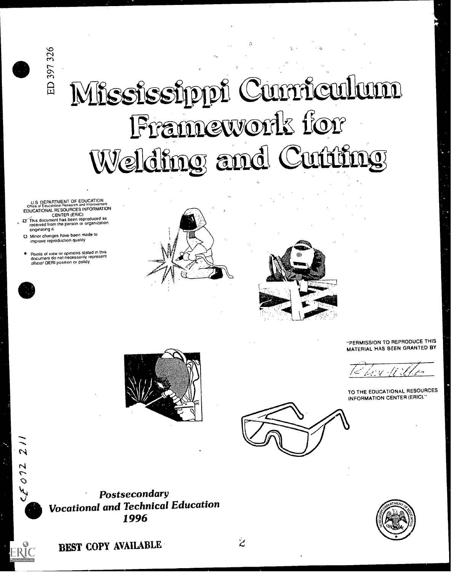# Mississippi Cumiculum Framework for Welding and Cutting

U.S DEPARTMENT OF EDUCATION<br>Office of Educational Research and improvement<br>EDUCATIONAL RESOURCES INFORMATION

- CENTER (ERIC)<br>23 This document has been reproduced as<br>received from the person or organization originating it.
- 0 Minor changes have been made to improve reproduction quality

 $\frac{1}{2}$ 

 $260.$ 

ED 397 326

Points of view or opinions stated in this document do not necessarily represent OERI position or policy





"PERMISSION TO REPRODUCE THIS MATERIAL HAS BEEN GRANTED BY

TO THE EDUCATIONAL RESOURCES INFORMATION CENTER (ERIC)."





Postsecondary Vocational and Technical Education 1996



BEST COPY AVAIIABLE

 $\overline{z}$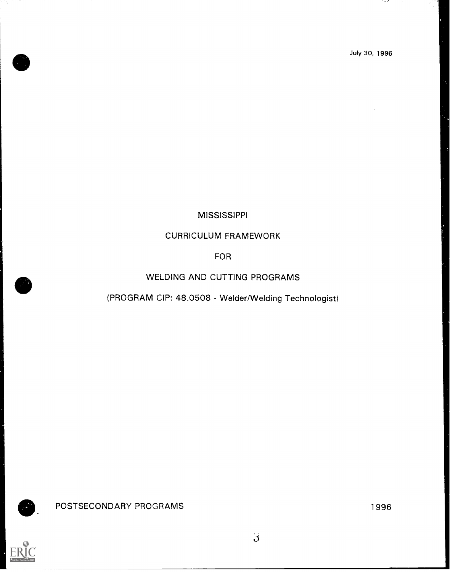## MISSISSIPPI

## CURRICULUM FRAMEWORK

FOR

## WELDING AND CUTTING PROGRAMS

## (PROGRAM CIP: 48.0508 - Welder/Welding Technologist)

 $\ddot{\mathbf{3}}$ 



POSTSECONDARY PROGRAMS 1996

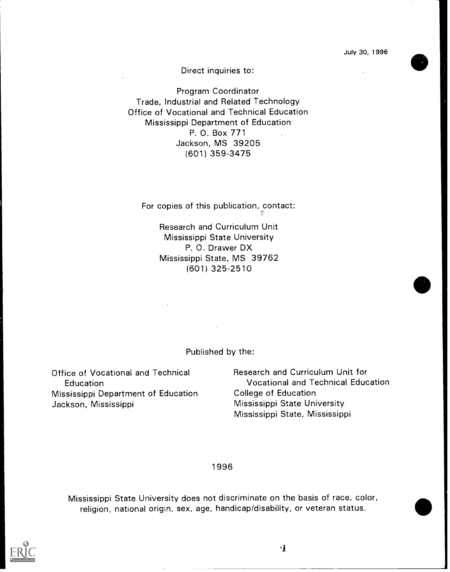Direct inquiries to:

Program Coordinator Trade, Industrial and Related Technology Office of Vocational and Technical Education Mississippi Department of Education P. 0. Box 771 Jackson, MS 39205 (601) 359-3475

For copies of this publication, contact:  $\mathbb{R}^n$ 

Research and Curriculum Unit Mississippi State University P. 0. Drawer DX Mississippi State, MS 39762 (601) 325-2510

Published by the:

Office of Vocational and Technical Education Mississippi Department of Education Jackson, Mississippi

Research and Curriculum Unit for Vocational and Technical Education College of Education Mississippi State University Mississippi State, Mississippi

1996

Mississippi State University does not discriminate on the basis of race, color, religion, national origin, sex, age, handicap/disability, or veteran status.



4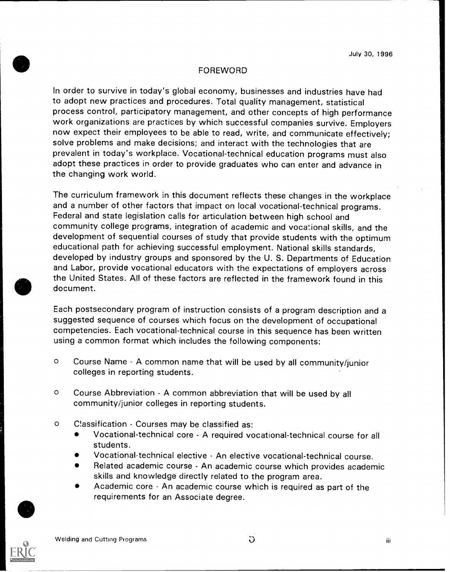### FOREWORD

In order to survive in today's globai economy, businesses and industries have had to adopt new practices and procedures. Total quality management, statistical process control, participatory management, and other concepts of high performance work organizations are practices by which successful companies survive. Employers now expect their employees to be able to read, write, and communicate effectively; solve problems and make decisions; and interact with the technologies that are prevalent in today's workplace. Vocational-technical education programs must also adopt these practices in order to provide graduates who can enter and advance in the changing work world.

The curriculum framework in this document reflects these changes in the workplace and a number of other factors that impact on local vocational-technical programs. Federal and state legislation calls for articulation between high school and community college programs, integration of academic and vocational skills, and the development of sequential courses of study that provide students with the optimum educational path for achieving successful employment. National skills standards, developed by industry groups and sponsored by the U. S. Departments of Education and Labor, provide vocational educators with the expectations of employers across the United States. All of these factors are reflected in the framework found in this document.

Each postsecondary program of instruction consists of a program description and <sup>a</sup> suggested sequence of courses which focus on the development of occupational competencies. Each vocational-technical course in this sequence has been written using a common format which includes the following components:

- o Course Name A common name that will be used by all community/junior colleges in reporting students.
- o Course Abbreviation A common abbreviation that will be used by all community/junior colleges in reporting students.
- o CIassification Courses may be classified as:
	- Vocational-technical core A required vocational-technical course for all students.
	- Vocational-technical elective An elective vocational-technical course.
	- Related academic course An academic course which provides academic skills and knowledge directly related to the program area.
	- Academic core An academic course which is required as part of the requirements for an Associate degree.



iii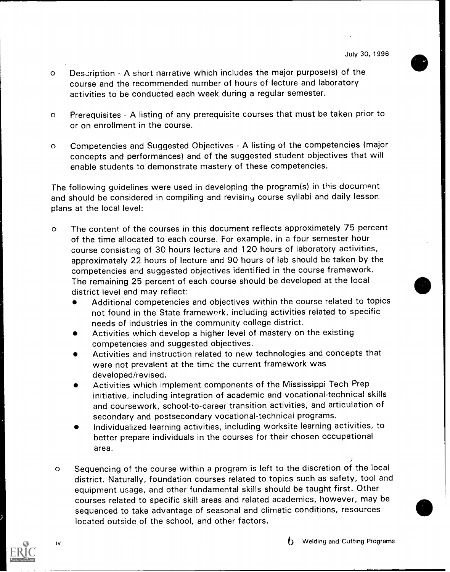- Description A short narrative which includes the major purpose(s) of the  $\circ$ course and the recommended number of hours of lecture and laboratory activities to be conducted each week during a regular semester.
- Prerequisites A listing of any prerequisite courses that must be taken prior to  $\circ$ or on enrollment in the course.
- Competencies and Suggested Objectives A listing of the competencies (major  $\circ$ concepts and performances) and of the suggested student objectives that will enable students to demonstrate mastery of these competencies.

The following guidelines were used in developing the program(s) in this document and should be considered in compiling and revising course syllabi and daily lesson plans at the local level:

- o The content of the courses in this document reflects approximately 75 percent of the time allocated to each course. For example, in a four semester hour course consisting of 30 hours lecture and 120 hours of laboratory activities, approximately 22 hours of lecture and 90 hours of lab should be taken by the competencies and suggested objectives identified in the course framework. The remaining 25 percent of each course should be developed at the local district level and may reflect:
	- Additional competencies and objectives within the course related to topics not found in the State framework, including activities related to specific needs of industries in the community college district.
	- Activities which develop a higher level of mastery on the existing competencies and suggested objectives.
	- Activities and instruction related to new technologies and concepts that were not prevalent at the time the current framework was developed/revised.
	- Activities which implement components of the Mississippi Tech Prep initiative, including integration of academic and vocational-technical skills and coursework, school-to-career transition activities, and articulation of secondary and postsecondary vocational-technical programs.
	- Individualized learning activities, including worksite learning activities, to better prepare individuals in the courses for their chosen occupational area.
- o Sequencing of the course within a program is left to the discretion of the local district. Naturally, foundation courses related to topics such as safety, tool and equipment usage, and other fundamental skills should be taught first. Other courses related to specific skill areas and related academics, however, may be sequenced to take advantage of seasonal and climatic conditions, resources located outside of the school, and other factors.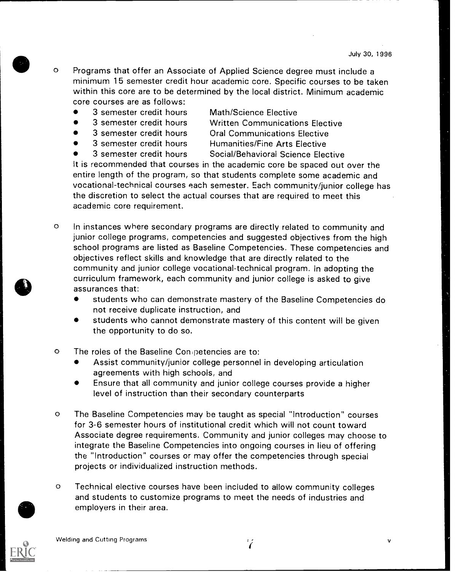- o Programs that offer an Associate of Applied Science degree must include a minimum 15 semester credit hour academic core. Specific courses to be taken within this core are to be determined by the local district. Minimum academic core courses are as follows:
	- 3 semester credit hours Math/Science Elective
		- 3 semester credit hours Written Communications Elective
	-
	-
- 3 semester credit hours Oral Communications Elective
	- 3 semester credit hours Humanities/Fine Arts Elective
	-

3 semester credit hours Social/Behavioral Science Elective

It is recommended that courses in the academic core be spaced out over the entire length of the program, so that students complete some academic and vocational-technical courses each semester. Each community/junior college has the discretion to select the actual courses that are required to meet this academic core requirement.

- o In instances where secondary programs are directly related to community and junior college programs, competencies and suggested objectives from the high school programs are listed as Baseline Competencies. These competencies and objectives reflect skills and knowledge that are directly related to the community and junior college vocational-technical program. In adopting the curriculum framework, each community and junior college is asked to give assurances that:
	- students who can demonstrate mastery of the Baseline Competencies do not receive duplicate instruction, and
	- students who cannot demonstrate mastery of this content will be given the opportunity to do so.
- o The roles of the Baseline Con petencies are to:
	- Assist community/junior college personnel in developing articulation agreements with high schools, and
	- Ensure that all community and junior college courses provide a higher level of instruction than their secondary counterparts
- o The Baseline Competencies may be taught as special "Introduction" courses for 3-6 semester hours of institutional credit which will not count toward Associate degree requirements. Community and junior colleges may choose to integrate the Baseline Competencies into ongoing courses in lieu of offering the "Introduction" courses or may offer the competencies through special projects or individualized instruction methods.
- o Technical elective courses have been included to allow community colleges and students to customize programs to meet the needs of industries and employers in their area.

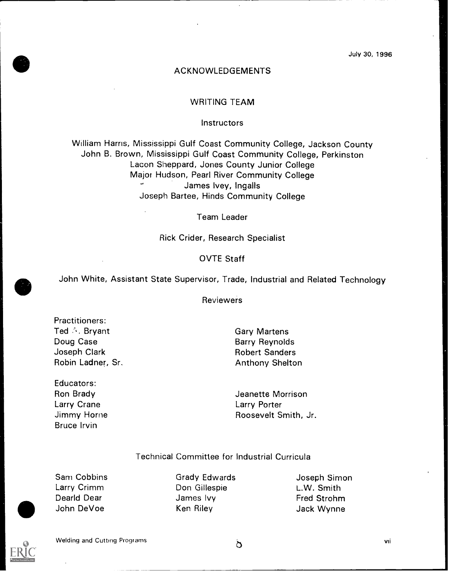#### ACKNOWLEDGEMENTS

#### WRITING TEAM

#### **Instructors**

William Harris, Mississippi Gulf Coast Community College, Jackson County John B. Brown, Mississippi Gulf Coast Community College, Perkinston Lacon Sheppard, Jones County Junior College Major Hudson, Pearl River Community College James Ivey, Ingalls Joseph Bartee, Hinds Community College

Team Leader

Rick Crider, Research Specialist

#### OVTE Staff

John White, Assistant State Supervisor, Trade, Industrial and Related Technology

Reviewers

Practitioners: Ted Bryant Doug Case Joseph Clark Robin Ladner, Sr.

Educators: Ron Brady Larry Crane Jimmy Horne Bruce Irvin

Gary Martens Barry Reynolds Robert Sanders Anthony Shelton

Jeanette Morrison Larry Porter Roosevelt Smith, Jr.

#### Technical Committee for Industrial Curricula

Sam Cobbins Larry Crimm Dearld Dear John DeVoe

Grady Edwards Don Gillespie James Ivy Ken Riley

Joseph Simon L.W. Smith Fred Strohm Jack Wynne



Welding and Cutting Programs  $\delta$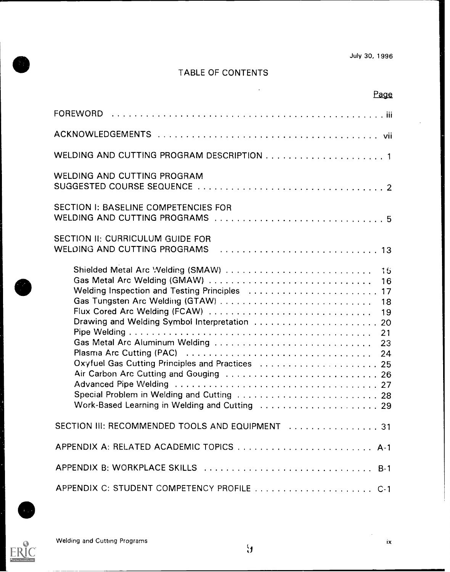## TABLE OF CONTENTS

| Page                                                                                                                                                                                                                                                                                                                                    |  |
|-----------------------------------------------------------------------------------------------------------------------------------------------------------------------------------------------------------------------------------------------------------------------------------------------------------------------------------------|--|
|                                                                                                                                                                                                                                                                                                                                         |  |
|                                                                                                                                                                                                                                                                                                                                         |  |
|                                                                                                                                                                                                                                                                                                                                         |  |
| <b>WELDING AND CUTTING PROGRAM</b>                                                                                                                                                                                                                                                                                                      |  |
| <b>SECTION I: BASELINE COMPETENCIES FOR</b>                                                                                                                                                                                                                                                                                             |  |
| SECTION II: CURRICULUM GUIDE FOR                                                                                                                                                                                                                                                                                                        |  |
| Shielded Metal Arc Welding (SMAW)  15<br>Gas Metal Arc Welding (GMAW)<br>16<br>Welding Inspection and Testing Principles  17<br>Flux Cored Arc Welding (FCAW)<br>19<br>Gas Metal Arc Aluminum Welding  23<br>Oxyfuel Gas Cutting Principles and Practices  25<br>Work-Based Learning in Welding and Cutting (Allandscape Alles Alles 29 |  |
| SECTION III: RECOMMENDED TOOLS AND EQUIPMENT  31                                                                                                                                                                                                                                                                                        |  |
|                                                                                                                                                                                                                                                                                                                                         |  |
|                                                                                                                                                                                                                                                                                                                                         |  |
| APPENDIX C: STUDENT COMPETENCY PROFILE  C-1                                                                                                                                                                                                                                                                                             |  |



 $E$ 

 $\sim$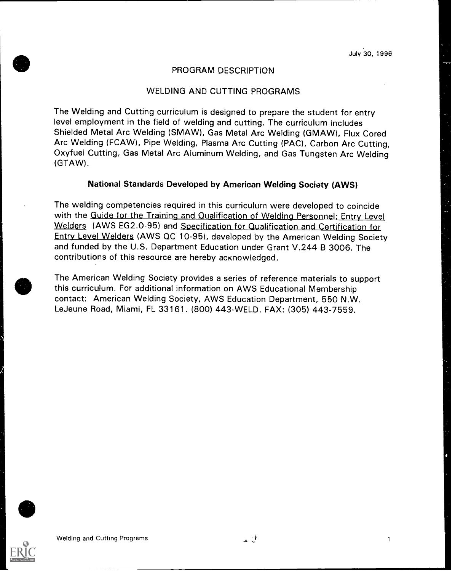#### PROGRAM DESCRIPTION

#### WELDING AND CUTTING PROGRAMS

The Welding and Cutting curriculum is designed to prepare the student for entry level employment in the field of welding and cutting. The curriculum includes Shielded Metal Arc Welding (SMAW), Gas Metal Arc Welding (GMAW), Flux Cored Arc Welding (FCAW), Pipe Welding, Plasma Arc Cutting (PAC), Carbon Arc Cutting, Oxyfuel Cutting, Gas Metal Arc Aluminum Welding, and Gas Tungsten Arc Welding (GTAW).

### National Standards Developed by American Welding Society (AWS)

The welding competencies required in this curriculum were developed to coincide with the Guide for the Training and Qualification of Welding Personnel: Entry Level Welders (AWS EG2.0-95) and Specification for Qualification and Certification for Entry Level Welders (AWS QC 10-95), developed by the American Welding Society and funded by the U.S. Department Education under Grant V.244 B 3006. The contributions of this resource are hereby acknowledged.

The American Welding Society provides a series of reference materials to support this curriculum. For additional information on AWS Educational Membership contact: American Welding Society, AWS Education Department, 550 N.W. LeJeune Road, Miami, FL 33161. (800) 443-WELD. FAX: (305) 443-7559.



 $\mathbf{1}$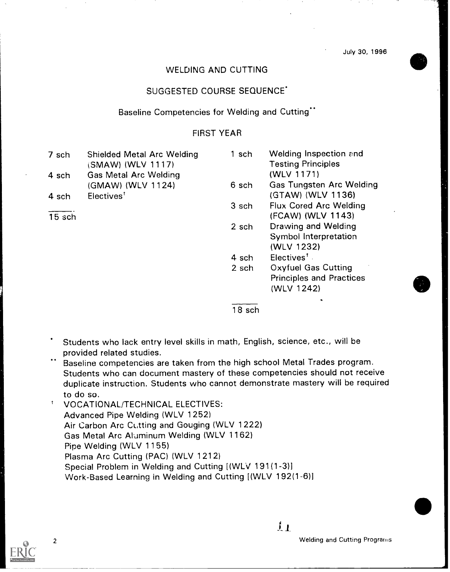#### WELDING AND CUTTING

#### SUGGESTED COURSE SEQUENCE

#### Baseline Competencies for Welding and Cutting"

#### FIRST YEAR

| 7 sch    | <b>Shielded Metal Arc Welding</b> | 1 sch | <b>Welding Inspection and</b>   |  |
|----------|-----------------------------------|-------|---------------------------------|--|
|          | (SMAW) (WLV 1117)                 |       | <b>Testing Principles</b>       |  |
| 4 sch    | <b>Gas Metal Arc Welding</b>      |       | (WLV 1171)                      |  |
|          | (GMAW) (WLV 1124)                 | 6 sch | <b>Gas Tungsten Arc Welding</b> |  |
| 4 sch    | Electives <sup>t</sup>            |       | (GTAW) (WLV 1136)               |  |
|          |                                   | 3 sch | <b>Flux Cored Arc Welding</b>   |  |
| $15$ sch |                                   |       | (FCAW) (WLV 1143)               |  |
|          |                                   | 2 sch | Drawing and Welding             |  |
|          |                                   |       | Symbol Interpretation           |  |
|          |                                   |       | (WLV 1232)                      |  |
|          |                                   | 4 sch | Electives <sup>t</sup>          |  |
|          |                                   | 2 sch | <b>Oxyfuel Gas Cutting</b>      |  |
|          |                                   |       | <b>Principles and Practices</b> |  |
|          |                                   |       | (WLV 1242)                      |  |
|          |                                   |       |                                 |  |

18 sch

- Students who lack entry level skills in math, English, science, etc., will be provided related studies.
- Baseline competencies are taken from the high school Metal Trades program. Students who can document mastery of these competencies should not receive duplicate instruction. Students who cannot demonstrate mastery will be required to do so.

 $\uparrow$ VOCATIONAL/TECHNICAL ELECTIVES: Advanced Pipe Welding (WLV 1252) Air Carbon Arc Cutting and Gouging (WLV 1222) Gas Metal Arc Aluminum Welding (WLV 1162) Pipe Welding (WLV 1155) Plasma Arc Cutting (PAC) (WLV 1212) Special Problem in Welding and Cutting [(WLV 191(1-3)] Work-Based Learning in Welding and Cutting [(WLV 192(1-6)]



 $\overline{11}$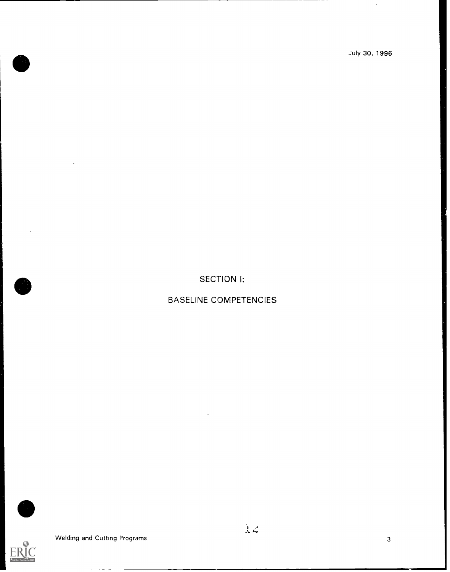$\hat{\boldsymbol{\beta}}$ 

SECTION I:

BASELINE COMPETENCIES



Welding and Cutting Programs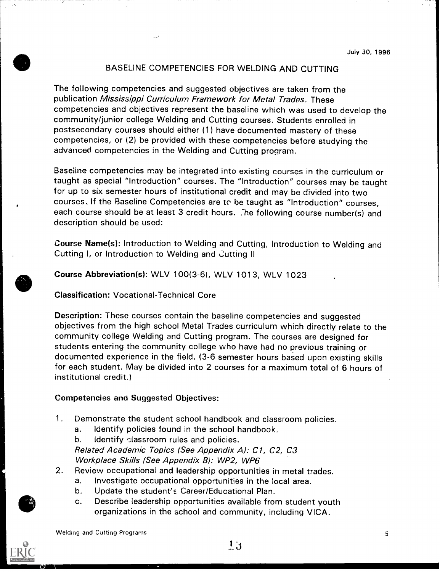#### BASELINE COMPETENCIES FOR WELDING AND CUTTING

The following competencies and suggested objectives are taken from the publication Mississippi Curriculum Framework for Metal Trades. These competencies and objectives represent the baseline which was used to develop the community/junior college Welding and Cutting courses. Students enrolled in postsecondary courses should either (1) have documented mastery of these competencies, or (2) be provided with these competencies before studying the advanced competencies in the Welding and Cutting program.

Baseline competencies may be integrated into existing courses in the curriculum or taught as special "Introduction" courses. The "Introduction" courses may be taught for up to six semester hours of institutional credit and may be divided into two courses. If the Baseline Competencies are to be taught as "Introduction" courses, each course should be at least 3 credit hours. The following course number(s) and description should be used:

Course Name(s): Introduction to Welding and Cutting, Introduction to Welding and Cutting I, or Introduction to Welding and Cutting II

Course Abbreviation(s): WLV 100(3-6), WLV 1013, WLV 1023

Classification: Vocational-Technical Core

Description: These courses contain the baseline competencies and suggested objectives from the high school Metal Trades curriculum which directly relate to the community college Welding and Cutting program. The courses are designed for students entering the community college who have had no previous training or documented experience in the field. (3-6 semester hours based upon existing skills for each student. May be divided into 2 courses for a maximum total of 6 hours of institutional credit.)

#### Competencies ana Suggested Objectives:

- 1. Demonstrate the student school handbook and classroom policies.
	- a. Identify policies found in the school handbook.

b. Identify classroom rules and policies.

Related Academic Topics (See Appendix A): C1, C2, C3 Workplace Skills (See Appendix B): WP2, WP6

- 2. Review occupational and leadership opportunities in metal trades.
	- a. Investigate occupational opportunities in the local area.
	- b. Update the student's Career/Educational Plan.
	- c. Describe leadership opportunities available from student youth organizations in the school and community, including VICA.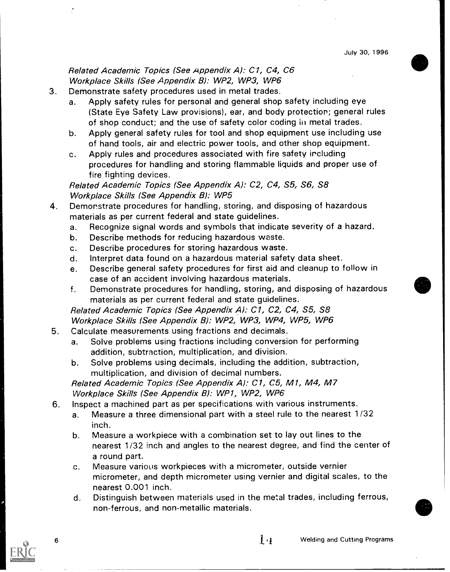## Related Academic Topics (See Appendix A): C1, C4, C6 Workplace Skills (See Appendix B): WP2, WP3, WP6

- 3. Demonstrate safety procedures used in metal trades.
	- a. Apply safety rules for personal and general shop safety including eye (State Eye Safety Law provisions), ear, and body protection; general rules of shop conduct; and the use of safety color coding in metal trades.
	- b. Apply general safety rules for tool and shop equipment use including use of hand tools, air and electric power tools, and other shop equipment.
	- c. Apply rules and procedures associated with fire safety including procedures for handling and storing flammable liquids and proper use of fire fighting devices.

Related Academic Topics (See Appendix A): C2, C4, S5, S6, S8 Workplace Skills (See Appendix B): WP5

- 4. Demonstrate procedures for handling, storing, and disposing of hazardous materials as per current federal and state guidelines.
	- a. Recognize signal words and symbols that indicate severity of a hazard.
	- b. Describe methods for reducing hazardous waste.
	- c. Describe procedures for storing hazardous waste.
	- d. Interpret data found on a hazardous material safety data sheet.
	- e. Describe general safety procedures for first aid and cleanup to follow in case of an accident involving hazardous materials.
	- f. Demonstrate procedures for handling, storing, and disposing of hazardous materials as per current federal and state guidelines.

Related Academic Topics (See Appendix A): C1, C2, C4, S5, S8 Workplace Skills (See Appendix B): WP2, WP3, WP4, WP5, WP6

- 5. Calculate measurements using fractions and decimals.
	- a. Solve problems using fractions including conversion for performing addition, subtraction, multiplication, and division.
	- b. Solve problems using decimals, including the addition, subtraction, multiplication, and division of decimal numbers.

Related Academic Topics (See Appendix A): C1, C5, M1, M4, M7 Workplace Skills (See Appendix B): WP1, WP2, WP6

- 6. Inspect a machined part as per specifications with various instruments.
	- a. Measure a three dimensional part with a steel rule to the nearest 1/32 inch.
	- b. Measure a workpiece with a combination set to lay out lines to the nearest 1/32 inch and angles to the nearest degree, and find the center of a round part.
	- c. Measure various workpieces with a micrometer, outside vernier micrometer, and depth micrometer using vernier and digital scales, to the nearest 0.001 inch.
	- d. Distinguish between materials used in the metal trades, including ferrous, non-ferrous, and non-metallic materials.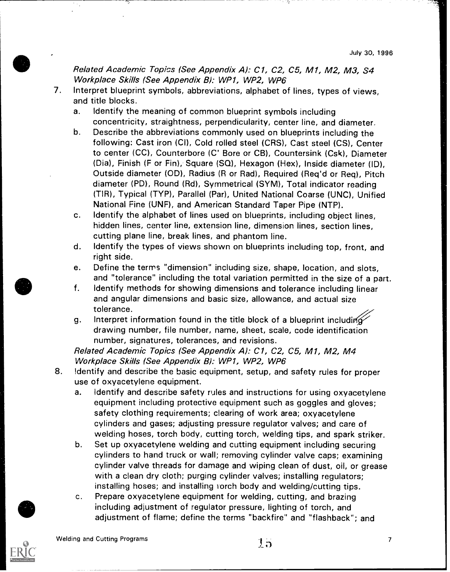Related Academic Topics (See Appendix A): C1, C2, C5, M1, M2, M3, S4 Workplace Skills (See Appendix B): WP1, WP2, WP6

- 7. Interpret blueprint symbols, abbreviations, alphabet of lines, types of views, and title blocks.
	- a. Identify the meaning of common blueprint symbols including concentricity, straightness, perpendicularity, center line, and diameter.
	- b. Describe the abbreviations commonly used on blueprints including the following: Cast iron (CI), Cold rolled steel (CRS), Cast steel (CS), Center to center (CC), Counterbore (C' Bore or CB), Countersink (Csk), Diameter (Dia), Finish (F or Fin), Square (SQ), Hexagon (Hex), Inside diameter (ID), Outside diameter (OD), Radius (R or Rad), Required (Req'd or Req), Pitch diameter (PD), Round (Rd), Symmetrical (SYM), Total indicator reading (TIR), Typical (TYP), Parallel (Par), United National Coarse (UNC), Unified National Fine (UNF), and American Standard Taper Pipe (NTP).
	- c. Identify the alphabet of lines used on blueprints, including object lines, hidden lines, center line, extension line, dimension lines, section lines, cutting plane line, break lines, and phantom line.
	- d. Identify the types of views shown on blueprints including top, front, and right side.
	- e. Define the terms "dimension" including size, shape, location, and slots, and "tolerance" including the total variation permitted in the size of a part.
	- f. Identify methods for showing dimensions and tolerance including linear and angular dimensions and basic size, allowance, and actual size tolerance.
	- g. Interpret information found in the title block of a blueprint including drawing number, file number, name, sheet, scale, code identification number, signatures, tolerances, and revisions.

Related Academic Topics (See Appendix A): C1, C2, C5, Ml, M2, M4 Workplace Skills (See Appendix B): WP1, WP2, WP6

- 8. Identify and describe the basic equipment, setup, and safety rules for proper use of oxyacetylene equipment.
	- a. Identify and describe safety rules and instructions for using oxyacetylene equipment including protective equipment such as goggles and gloves; safety clothing requirements; clearing of work area; oxyacetylene cylinders and gases; adjusting pressure regulator valves; and care of welding hoses, torch body, cutting torch, welding tips, and spark striker.
	- b. Set up oxyacetylene welding and cutting equipment including securing cylinders to hand truck or wall; removing cylinder valve caps; examining cylinder valve threads for damage and wiping clean of dust, oil, or grease with a clean dry cloth; purging cylinder valves; installing regulators; installing hoses; and installing rorch body and welding/cutting tips.
	- c. Prepare oxyacetylene equipment for welding, cutting, and brazing including adjustment of regulator pressure, lighting of torch, and adjustment of flame; define the terms "backfire" and "flashback"; and

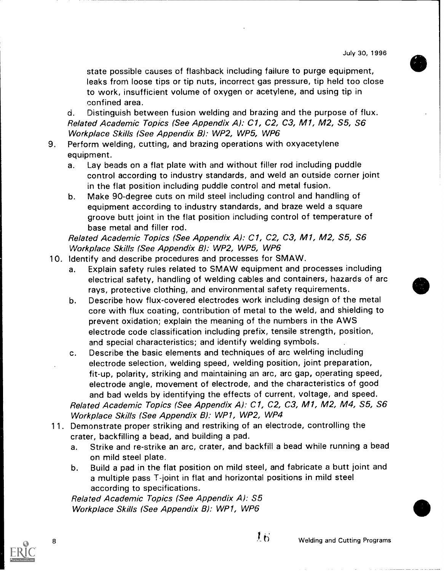state possible causes of flashback including failure to purge equipment, leaks frorn loose tips or tip nuts, incorrect gas pressure, tip held too close to work, insufficient volume of oxygen or acetylene, and using tip in confined area.

d. Distinguish between fusion welding and brazing and the purpose of flux. Related Academic Topics (See Appendix A): C1, C2, C3, M1, M2, S5, S6 Workplace Skills (See Appendix B): WP2, WP5, WP6

- 9. Perform welding, cutting, and brazing operations with oxyacetylene equipment.
	- a. Lay beads on a flat plate with and without filler rod including puddle control according to industry standards, and weld an outside corner joint in the flat position including puddle control and metal fusion.
	- b. Make 90-degree cuts on mild steel including control and handling of equipment according to industry standards, and braze weld a square groove butt joint in the flat position including control of temperature of base metal and filler rod.

Related Academic Topics (See Appendix A): C1, C2, C3, Ml, M2, S5, S6 Workplace Skills (See Appendix B): WP2, WP5, WP6

- 10. Identify and describe procedures and processes for SMAW.
	- a. Explain safety rules related to SMAW equipment and processes including electrical safety, handling of welding cables and containers, hazards of arc rays, protective clothing, and environmental safety requirements.
	- b. Describe how flux-covered electrodes work including design of the metal core with flux coating, contribution of metal to the weld, and shielding to prevent oxidation; explain the meaning of the numbers in the AWS electrode code classification including prefix, tensile strength, position, and special characteristics; and identify welding symbols.
	- c. Describe the basic elements and techniques of arc welding including electrode selection, welding speed, welding position, joint preparation, fit-up, polarity, striking and maintaining an arc, arc gap, operating speed, electrode angle, movement of electrode, and the characteristics of good and bad welds by identifying the effects of current, voltage, and speed. Related Academic Topics (See Appendix A): C1, C2, C3, Ml, M2, M4, S5, S6 Workplace Skills (See Appendix B): WP1, WP2, WP4

11. Demonstrate proper striking and restriking of an electrode, controlling the crater, backfilling a bead, and building a pad.

- a. Strike and re-strike an arc, crater, and backfill a bead while running a bead on mild steel plate.
- b. Build a pad in the flat position on mild steel, and fabricate a butt joint and a multiple pass T-joint in flat and horizontal positions in mild steel according to specifications.

Related Academic Topics (See Appendix A): S5 Workplace Skills (See Appendix B): WP1, WP6



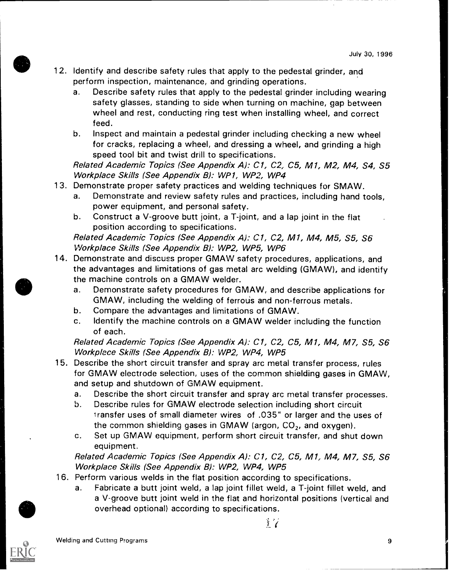- 12. Identify and describe safety rules that apply to the pedestal grinder, and perform inspection, maintenance, and grinding operations.
	- a. Describe safety rules that apply to the pedestal grinder including wearing safety glasses, standing to side when turning on machine, gap between wheel and rest, conducting ring test when installing wheel, and correct feed.
	- b. Inspect and maintain a pedestal grinder including checking a new wheel for cracks, replacing a wheel, and dressing a wheel, and grinding a high speed tool bit and twist drill to specifications.

Related Academic Topics (See Appendix A): C1, C2, C5, M1, M2, M4, S4, S5 Workplace Skills (See Appendix B): WP1, WP2, WP4

- 13. Demonstrate proper safety practices and welding techniques for SMAW.
	- a. Demonstrate and review safety rules and practices, including hand tools, power equipment, and personal safety.
	- b. Construct a V-groove butt joint, a T-joint, and a lap joint in the flat position according to specifications.

Related Academic Topics (See Appendix A): C1, C2, M1, M4, M5, S5, S6 Workplace Skills (See Appendix B): WP2, WP5, WP6

- 14. Demonstrate and discuss proper GMAW safety procedures, applications, and the advantages and limitations of gas metal arc welding (GMAW), and identify the machine controls on a GMAW welder.
	- a. Demonstrate safety procedures for GMAW, and describe applications for GMAW, including the welding of ferrous and non-ferrous metals.
	- b. Compare the advantages and limitations of GMAW.
	- c. Identify the machine controls on a GMAW welder including the function of each.

Related Academic Topics (See Appendix A): C1, C2, C5, Ml, M4, M7, S5, S6 Workplace Skills (See Appendix B): WP2, WP4, WP5

- 15. Describe the short circuit transfer and spray arc metal transfer process, rules for GMAW electrode selection, uses of the common shielding gases in GMAW, and setup and shutdown of GMAW equipment.
	- a. Describe the short circuit transfer and spray arc metal transfer processes.
	- b. Describe rules for GMAW electrode selection including short circuit iransfer uses of small diameter wires of .035" or larger and the uses of the common shielding gases in GMAW (argon,  $CO<sub>2</sub>$ , and oxygen).
	- c. Set up GMAW equipment, perform short circuit transfer, and shut down equipment.

Related Academic Topics (See Appendix A): C1, C2, C5, Ml, M4, M7, S5, S6 Workplace Skills (See Appendix B): WP2, WP4, WP5

- 16. Perform various welds in the flat position according to specifications.
	- a. Fabricate a butt joint weld, a lap joint fillet weld, a T-joint fillet weld, and a V-groove butt joint weld in the flat and horizontal positions (vertical and overhead optional) according to specifications.

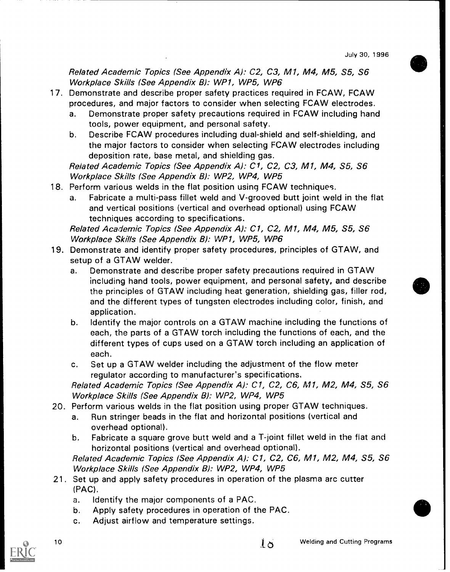Related Academic Topics (See Appendix A): C2, C3, Ml, M4, M5, S5, S6 Workplace Skills (See Appendix B): WP1, WP5, WP6

- 17. Demonstrate and describe proper safety practices required in FCAW, FCAW procedures, and major factors to consider when selecting FCAW electrodes.
	- a. Demonstrate proper safety precautions required in FCAW including hand tools, power equipment, and personal safety.
	- b. Describe FCAW procedures including dual-shield and self-shielding, and the major factors to consider when selecting FCAW electrodes including deposition rate, base metal, and shielding gas.

Related Academic Topics (See Appendix A): C1, C2, C3, M1, M4, S5, S6 Workplace Skills (See Appendix B): WP2, WP4, WP5

- 18. Perform various welds in the flat position using FCAW techniques.
	- a. Fabricate a multi-pass fillet weld and V-grooved butt joint weld in the flat and vertical positions (vertical and overhead optional) using FCAW techniques according to specifications.

Related Academic Topics (See Appendix A): C1, C2, Ml, M4, M5, S5, S6 Workplace Skills (See Appendix B): WP1, WP5, WP6

- 19. Demonstrate and identify proper safety procedures, principles of GTAW, and setup of a GTAW welder.
	- a. Demonstrate and describe proper safety precautions required in GTAW including hand tools, power equipment, and personal safety, and describe the principles of GTAW including heat generation, shielding gas, filler rod, and the different types of tungsten electrodes including color, finish, and application.
	- b. Identify the major controls on a GTAW machine including the functions of each, the parts of a GTAW torch including the functions of each, and the different types of cups used on a GTAW torch including an application of each.
	- c. Set up a GTAW welder including the adjustment of the flow meter regulator according to manufacturer's specifications.

Related Academic Topics (See Appendix A): Cl, C2, C6, Ml, M2, M4, S5, S6 Workplace Skills (See Appendix B): WP2, WP4, WP5

- 20. Perform various welds in the flat position using proper GTAW techniques.
	- a. Run stringer beads in the flat and horizontal positions (vertical and overhead optional).
	- b. Fabricate a square grove butt weld and a T-joint fillet weld in the flat and horizontal positions (vertical and overhead optional).

Related Academic Topics (See Appendix A): C1, C2, C6, Ml, M2, M4, S5, S6 Workplace Skills (See Appendix B): WP2, WP4, WP5

- 21. Set up and apply safety procedures in operation of the plasma arc cutter (PAC).
	- a. Identify the major components of a PAC.
	- b. Apply safety procedures in operation of the PAC.
	- c. Adjust airflow and temperature settings.

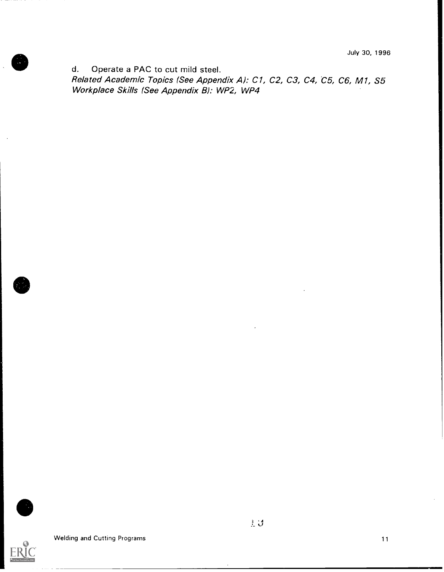d. Operate a PAC to cut mild steel.

Related Academic Topics (See Appendix A): C1, C2, C3, C4, C5, C6, M1, S5 Workplace Skills (See Appendix B): WP2, WP4



Welding and Cutting Programs 11 and 200 million and 200 million and 200 million and 200 million and 200 million and 200 million and 200 million and 200 million and 200 million and 200 million and 200 million and 200 millio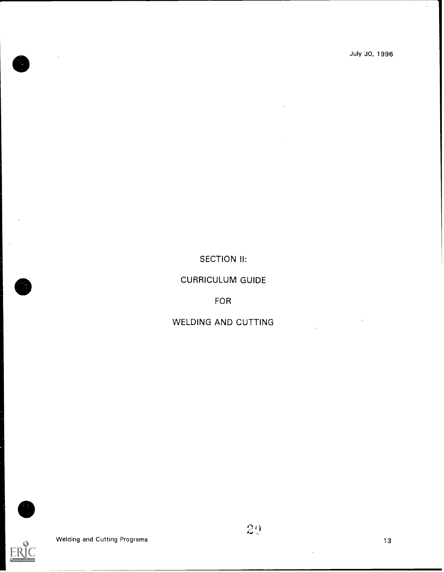## SECTION **II**:

## CURRICULUM GUIDE

FOR

## WELDING AND CUTTING

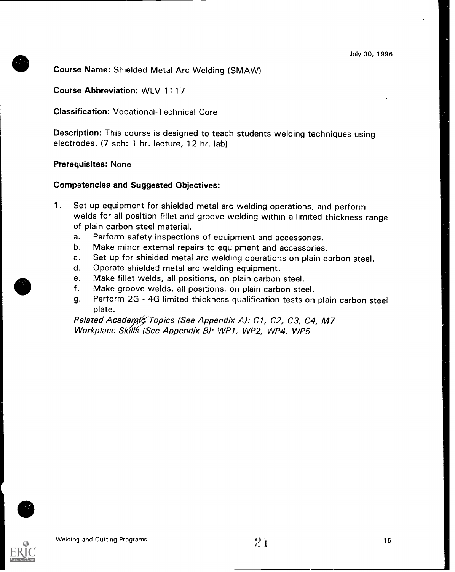## Course Name: Shielded Metal Arc Welding (SMAW)

Course Abbreviation: WLV 1117

Classification: Vocational-Technical Core

Description: This course is designed to teach students welding techniques using electrodes. (7 sch: 1 hr. lecture, 12 hr. lab)

#### Prerequisites: None

#### Competencies and Suggested Objectives:

- 1. Set up equipment for shielded metal arc welding operations, and perform welds for all position fillet and groove welding within a limited thickness range of plain carbon steel material.
	- a. Perform safety inspections of equipment and accessories.
	- b. Make minor external repairs to equipment and accessories.
	- c. Set up for shielded metal arc welding operations on plain carbon steel.
	- d. Operate shielded metal arc welding equipment.
	- e. Make fillet welds, all positions, on plain carbon steel.
	- f. Make groove welds, all positions, on plain carbon steel.
	- g. Perform 2G 4G limited thickness qualification tests on plain carbon steel plate.

Related Academic Topics (See Appendix A): C1, C2, C3, C4, M7 Workplace Skill's (See Appendix B): WP1, WP2, WP4, WP5

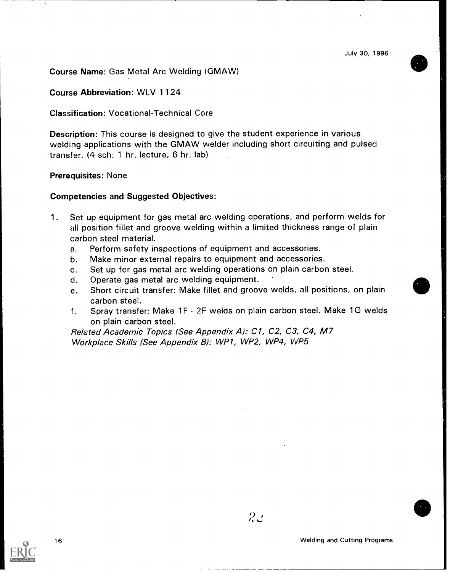Course Name: Gas Metal Arc Welding (GMAW)

#### Course Abbreviation: WLV 1 1 24

#### Classification: Vocational-Technical Core

Description: This course is designed to give the student experience in various welding applications with the GMAW welder including short circuiting and pulsed transfer. (4 sch: 1 hr. lecture, 6 hr. lab)

#### Prerequisites: None

#### Competencies and Suggested Objectives:

- 1. Set up equipment for gas metal arc welding operations, and perform welds for all position fillet and groove welding within a limited thickness range of plain carbon steel material.
	- a. Perform safety inspections of equipment and accessories.
	- b. Make minor external repairs to equipment and accessories.
	- c. Set up for gas metal arc welding operations on plain carbon steel.
	- d. Operate gas metal arc welding equipment.
	- e. Short circuit transfer: Make fillet and groove welds, all positions, on plain carbon steel.
	- f. Spray transfer: Make 1F 2F welds on plain carbon steel. Make 1G welds on plain carbon steel.

Related Academic Topics (See Appendix A): C1, C2, C3, C4, M7 Workplace Skills (See Appendix B): WP1, WP2, WP4, WP5

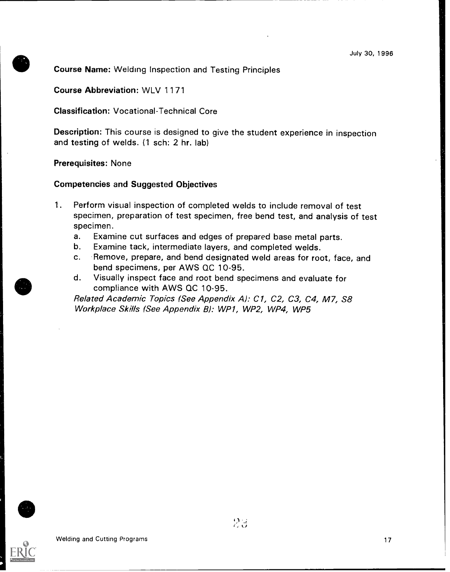#### Course Name: Welding Inspection and Testing Principles

Course Abbreviation: WLV 1171

Classification: Vocational-Technical Core

Description: This course is designed to give the student experience in inspection and testing of welds. (1 sch: 2 hr. lab)

#### Prerequisites: None

#### Competencies and Suggested Objectives

- 1. Perform visual inspection of completed welds to include removal of test specimen, preparation of test specimen, free bend test, and analysis of test specimen.
	- a. Examine cut surfaces and edges of prepared base metal parts.
	- b. Examine tack, intermediate layers, and completed welds.
	- c. Remove, prepare, and bend designated weld areas for root, face, and bend specimens, per AWS QC 10-95.
	- d. Visually inspect face and root bend specimens and evaluate for compliance with AWS QC 10-95.

Related Academic Topics (See Appendix A): C1, C2, C3, C4, M7, S8 Workplace Skills (See Appendix 8): WP1, WP2, WP4, WP5

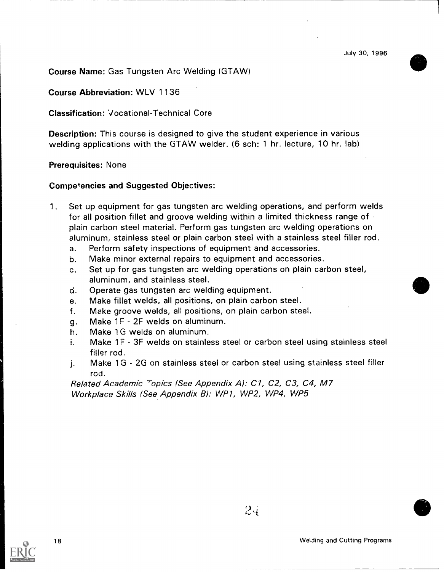Course Name: Gas Tungsten Arc Welding (GTAW)

Course Abbreviation: WLV 1 1 36

Classification: Vocational-Technical Core

Description: This course is designed to give the student experience in various welding applications with the GTAW welder. (6 sch: 1 hr. lecture, 10 hr. lab)

#### Prerequisites: None

#### Competencies and Suggested Objectives:

- 1. Set up equipment for gas tungsten arc welding operations, and perform welds for all position fillet and groove welding within a limited thickness range of plain carbon steel material. Perform gas tungsten arc welding operations on aluminum, stainless steel or plain carbon steel with a stainless steel filler rod.
	- a. Perform safety inspections of equipment and accessories.
	- b. Make minor external repairs to equipment and accessories.
	- c. Set up for gas tungsten arc welding operations on plain carbon steel, aluminum, and stainless steel.
	- d. Operate gas tungsten arc welding equipment.
	- e. Make fillet welds, all positions, on plain carbon steel.
	- f. Make groove welds, all positions, on plain carbon steel.
	- 9. Make 1F 2F welds on aluminum.
	- h. Make 1G welds on aluminum.
	- i. Make 1F 3F welds on stainless steel or carbon steel using stainless steel filler rod.
	- j. Make 1G 2G on stainless steel or carbon steel using stainless steel filler rod.

Related Academic Topics (See Appendix A): C1, C2, C3, C4, M7 Workplace Skills (See Appendix B): WP1, WP2, WP4, WP5

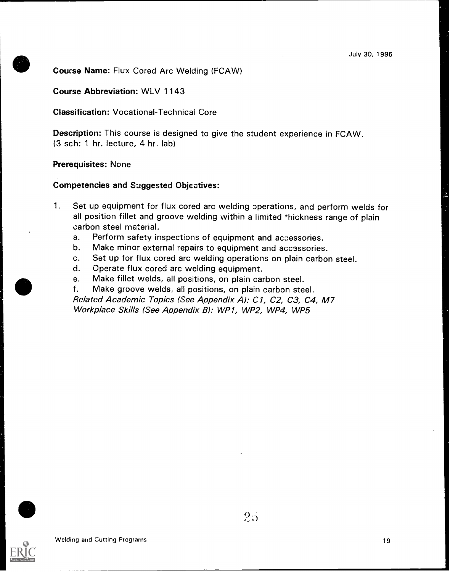#### Course Name: Flux Cored Arc Welding (FCAW)

#### Course Abbreviation: WLV 1143

Classification: Vocational-Technical Core

Description: This course is designed to give the student experience in FCAW. (3 sch: 1 hr. lecture, 4 hr. lab)

#### Prerequisites: None

#### Competencies and Suggested Objectives:

- 1. Set up equipment for flux cored arc welding operations, and perform welds for all position fillet and groove welding within a limited thickness range of plain carbon steel material.
	- a. Perform safety inspections of equipment and accessories.
	- b. Make minor external repairs to equipment and accessories.
	- c. Set up for flux cored arc welding operations on plain carbon steel.
	- d. Operate flux cored arc welding equipment.
	- e. Make fillet welds, all positions, on plain carbon steel.
	- f. Make groove welds, all positions, on plain carbon steel.

Related Academic Topics (See Appendix A): C1, C2, C3, C4, M7 Workplace Skills (See Appendix B): WP1, WP2, WP4, WP5

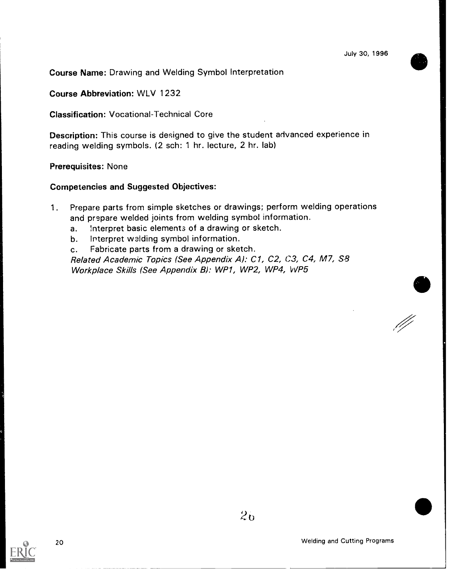Course Name: Drawing and Welding Symbol Interpretation

Course Abbreviation: WLV 1232

Classification: Vocational-Technical Core

Description: This course is designed to give the student advanced experience in reading welding symbols. (2 sch: 1 hr. lecture, 2 hr. lab)

#### Prerequisites: None

#### Competencies and Suggested Objectives:

- 1. Prepare parts from simple sketches or drawings; perform welding operations and prepare welded joints from welding symbol information.
	- a. Interpret basic elements of a drawing or sketch.
	- b. Interpret welding symbol information.

c. Fabricate parts from a drawing or sketch.

Related Academic Topics (See Appendix A): C1, C2, C3, C4, M7, S8 Workplace Skills (See Appendix B): WP1, WP2, WP4, WP5

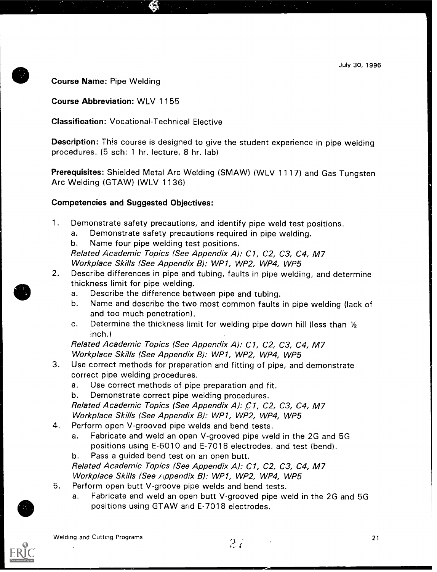#### Course Name: Pipe Welding

Course Abbreviation: WLV 1155

## Classification: Vocational-Technical Elective

Description: This course is designed to give the student experience in pipe welding procedures. (5 sch: 1 hr. lecture, 8 hr. lab)

Prerequisites: Shielded Metal Arc Welding (SMAW) (WLV 1117) and Gas Tungsten Arc Welding (GTAW) (WLV 1136)

## Competencies and Suggested Objectives:

- 1. Demonstrate safety precautions, and identify pipe weld test positions.
	- a. Demonstrate safety precautions required in pipe welding.
	- b. Name four pipe welding test positions.

Related Academic Topics (See Appendix A): C1, C2, C3, C4, M7 Workplace Skills (See Appendix B): WP1, WP2, WP4, WP5

- 2. Describe differences in pipe and tubing, faults in pipe welding, and determine thickness limit for pipe welding.
	- a. Describe the difference between pipe and tubing.
	- b. Name and describe the two most common faults in pipe welding (lack of and too much penetration).
	- c. Determine the thickness limit for welding pipe down hill (less than  $1/2$ inch.)

Related Academic Topics (See Appendix A): C1, C2, C3, C4, M7 Workplace Skills (See Appendix B): WP1, WP2, WP4, WP5

- 3. Use correct methods for preparation and fitting of pipe, and demonstrate correct pipe welding procedures.
	- a. Use correct methods of pipe preparation and fit.
	- b. Demonstrate correct pipe welding procedures.

Related Academic Topics (See Appendix A): C1, C2, C3, C4, M7 Workplace Skills (See Appendix B): WP1, WP2, WP4, WP5

- 4. Perform open V-grooved pipe welds and bend tests.
	- a. Fabricate and weld an open V-grooved pipe weld in the 2G and 5G positions using E-6010 and E-7018 electrodes, and test (bend).
	- b. Pass a guided bend test on an open butt.

Related Academic Topics (See Appendix A): C1, C2, C3, C4, M7 Workplace Skills (See Appendix B): WP1, WP2, WP4, WP5

- 5. Perform open butt V-groove pipe welds and bend tests.
	- a. Fabricate and weld an open butt V-grooved pipe weld in the 2G and 5G positions using GTAW and E-7018 electrodes.



 $27.$ 

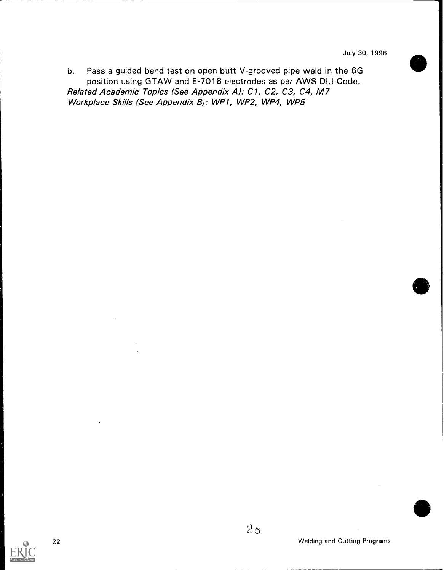b. Pass a guided bend test on open butt V-grooved pipe weld in the 6G position using GTAW and E-7018 electrodes as per AWS Dl.l Code. Related Academic Topics (See Appendix A): C1, C2, C3, C4, M7 Workplace Skills (See Appendix B): WP1, WP2, WP4, WP5

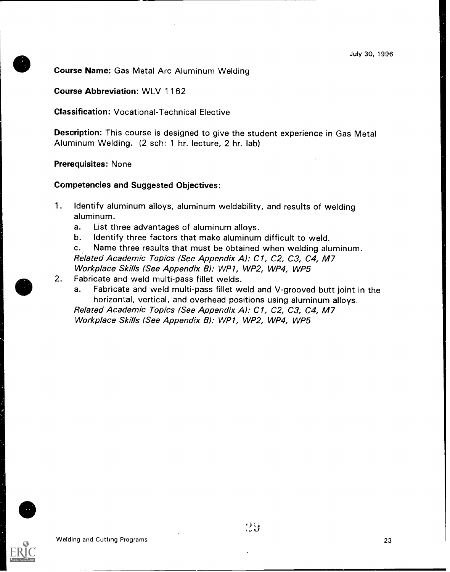#### Course Name: Gas Metal Arc Aluminum Welding

#### Course Abbreviation: WLV 1162

Classification: Vocational-Technical Elective

Description: This course is designed to give the student experience in Gas Metal Aluminum Welding. (2 sch: 1 hr. lecture, 2 hr. lab)

#### Prerequisites: None

#### Competencies and Suggested Objectives:

- 1. Identify aluminum alloys, aluminum weldability, and results of welding aluminum.
	- a. List three advantages of aluminum alloys.
	- b. Identify three factors that make aluminum difficult to weld.
	- c. Name three results that must be obtained when welding aluminum. Related Academic Topics (See Appendix A): C1, C2, C3, C4, M7 Workplace Skills (See Appendix B): WP1, WP2, WP4, WP5
- 2. Fabricate and weld multi-pass fillet welds.
	- a. Fabricate and weld multi-pass fillet weld and V-grooved butt joint in the horizontal, vertical, and overhead positions using aluminum alloys.

Related Academic Topics (See Appendix A): C1, C2, C3, C4, M7 Workplace Skills (See Appendix B): WP1, WP2, WP4, WP5

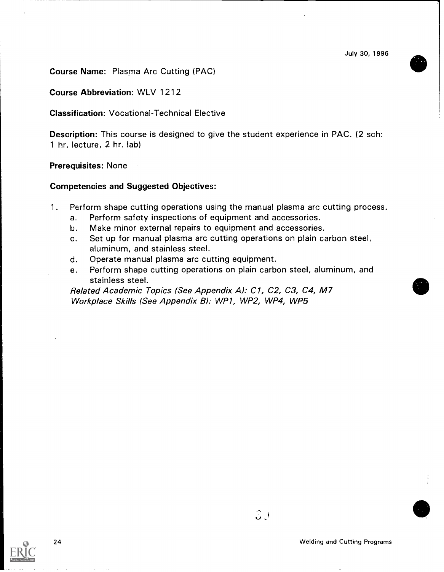Course Name: Plasma Arc Cutting (PAC)

Course Abbreviation: WLV 1212

Classification: Vocational-Technical Elective

Description: This course is designed to give the student experience in PAC. (2 sch: 1 hr. lecture, 2 hr. lab)

#### Prerequisites: None

#### Competencies and Suggested Objectives:

- 1. Perform shape cutting operations using the manual plasma arc cutting process.
	- a. Perform safety inspections of equipment and accessories.
	- b. Make minor external repairs to equipment and accessories.
	- c. Set up for manual plasma arc cutting operations on plain carbon steel, aluminum, and stainless steel.
	- d. Operate manual plasma arc cutting equipment.
	- e. Perform shape cutting operations on plain carbon steel, aluminum, and stainless steel.

Related Academic Topics (See Appendix A): C1, C2, C3, C4, M7 Workplace Skills (See Appendix B): WP1, WP2, WP4, WP5



 $3J$ 

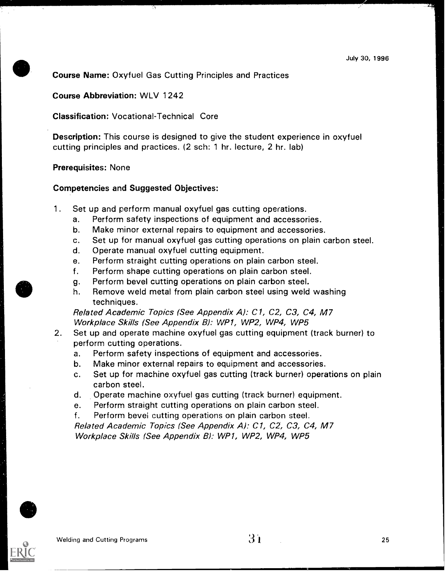Course Name: Oxyfuel Gas Cutting Principles and Practices

#### Course Abbreviation: WLV 1242

#### Classification: Vocational-Technical Core

Description: This course is designed to give the student experience in oxyfuel cutting principles and practices. (2 sch: 1 hr. lecture, 2 hr. lab)

#### Prerequisites: None

#### Competencies and Suggested Objectives:

- 1. Set up and perform manual oxyfuel gas cutting operations.
	- a. Perform safety inspections of equipment and accessories.
	- b. Make minor external repairs to equipment and accessories.
	- c. Set up for manual oxyfuel gas cutting operations on plain carbon steel.
	- d. Operate manual oxyfuel cutting equipment.
	- e. Perform straight cutting operations on plain carbon steel.
	- f. Perform shape cutting operations on plain carbon steel.
	- g. Perform bevel cutting operations on plain carbon steel.
	- h. Remove weld metal from plain carbon steel using weld washing techniques.

Related Academic Topics (See Appendix A): C1, C2, C3, C4, M7 Workplace Skills (See Appendix B): WP1, WP2, WP4, WP5

- 2. Set up and operate machine oxyfuel gas cutting equipment (track burner) to perform cutting operations.
	- a. Perform safety inspections of equipment and accessories.
	- b. Make minor external repairs to equipment and accessories.
	- c. Set up for machine oxyfuel gas cutting (track burner) operations on plain carbon steel.
	- d. Operate machine oxyfuel gas cutting (track burner) equipment.
	- e. Perform straight cutting operations on plain carbon steel.
	- f. Perform bevel cutting operations on plain carbon steel.

Related Academic Topics (See Appendix A): C1, C2, C3, C4, M7 Workplace Skills (See Appendix B): WP1, WP2, WP4, WP5

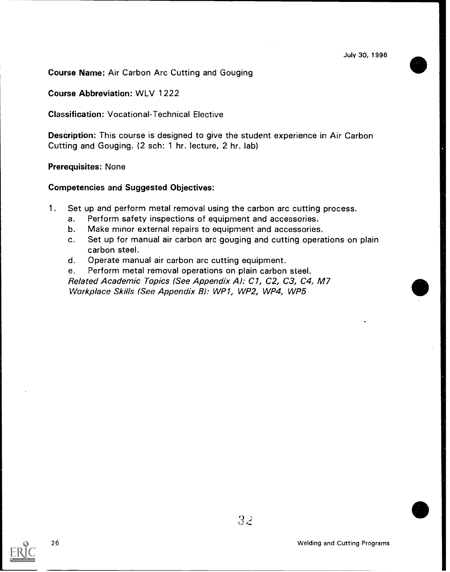Course Name: Air Carbon Arc Cutting and Gouging

Course Abbreviation: WLV 1222

Classification: Vocational-Technical Elective

Description: This course is designed to give the student experience in Air Carbon Cutting and Gouging. (2 sch: 1 hr. lecture, 2 hr. lab)

#### Prerequisites: None

#### Competencies and Suggested Objectives:

- 1. Set up and perform metal removal using the carbon arc cutting process.
	- a. Perform safety inspections of equipment and accessories.
	- b. Make minor external repairs to equipment and accessories.
	- c. Set up for manual air carbon arc gouging and cutting operations on plain carbon steel.
	- d. Operate manual air carbon arc cutting equipment.

e. Perform metal removal operations on plain carbon steel. Related Academic Topics (See Appendix A): C1, C2, C3, C4, M7 Workplace Skills (See Appendix B): WP1, WP2, WP4, WP5



32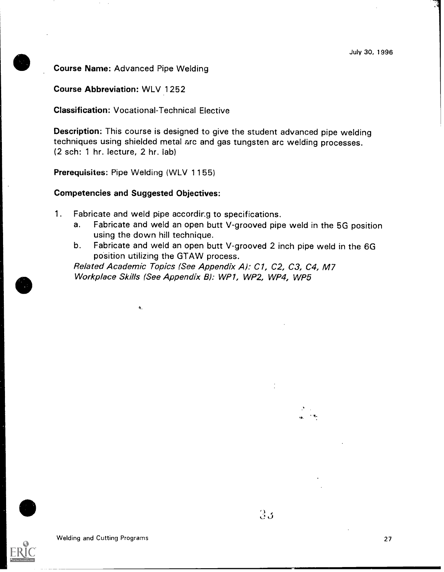Course Name: Advanced Pipe Welding

Course Abbreviation: WLV 1252

Classification: Vocational-Technical Elective

Description: This course is designed to give the student advanced pipe welding techniques using shielded metal arc and gas tungsten arc welding processes. (2 sch: 1 hr. lecture, 2 hr. lab)

Prerequisites: Pipe Welding (WLV 1155)

#### Competencies and Suggested Objectives:

 $\Delta_{\rm L}$ 

- 1. Fabricate and weld pipe accordir.g to specifications.
	- a. Fabricate and weld an open butt V-grooved pipe weld in the 5G position using the down hill technique.
	- b. Fabricate and weld an open butt V-grooved 2 inch pipe weld in the 6G position utilizing the GTAW process.

Related Academic Topics (See Appendix A): C1, C2, C3, C4, M7 Workplace Skills (See Appendix B): WP1, WP2, WP4, WP5



Welding and Cutting Programs 27

ea.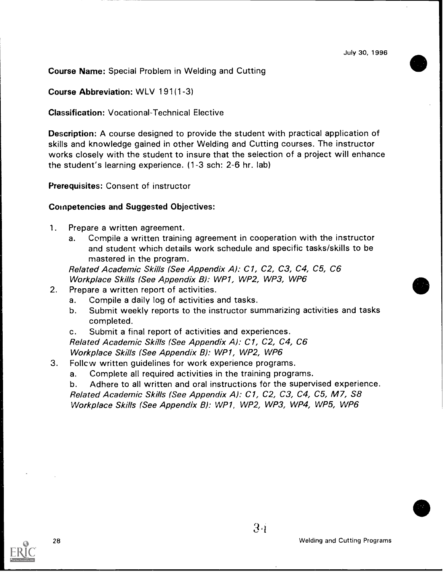Course Name: Special Problem in Welding and Cutting

Course Abbreviation: WLV 191(1-3)

Classification: Vocational-Technical Elective

Description: A course designed to provide the student with practical application of skills and knowledge gained in other Welding and Cutting courses. The instructor works closely with the student to insure that the selection of a project will enhance the student's learning experience. (1-3 sch: 2-6 hr. lab)

Prerequisites: Consent of instructor

#### Competencies and Suggested Objectives:

- 1. Prepare a written agreement.
	- Compile a written training agreement in cooperation with the instructor and student which details work schedule and specific tasks/skills to be mastered in the program.

Related Academic Skills (See Appendix A): C1, C2, C3, C4, C5, C6 Workplace Skills (See Appendix B): WP1, WP2, WP3, WP6

- 2. Prepare a written report of activities.
	- a. Compile a daily log of activities and tasks.
	- b. Submit weekly reports to the instructor summarizing activities and tasks completed.
	- c. Submit a final report of activities and experiences.

Related Academic Skills (See Appendix A): C1, C2, C4, C6 Workplace Skills (See Appendix B): WP1, WP2, WP6

- 3. Follow written guidelines for work experience programs.
	- a. Complete all required activities in the training programs.

b. Adhere to all written and oral instructions for the supervised experience. Related Academic Skills (See Appendix A): C1, C2, C3, C4, C5, M7, S8 Workplace Skills (See Appendix B): WP1, WP2, WP3, WP4, WP5, WP6

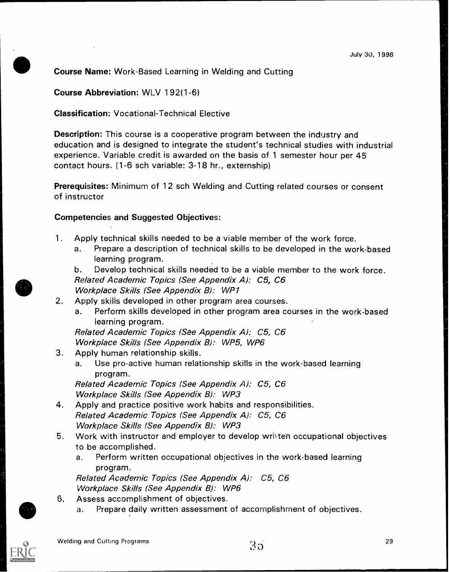Course Name: Work-Based Learning in Welding and Cutting

Course Abbreviation: WLV 192(1-6)

Classification: Vocational-Technical Elective

Description: This course is a cooperative program between the industry and education and is designed to integrate the student's technical studies with industrial experience. Variable credit is awarded on the basis of 1 semester hour per 45 contact hours. (1-6 sch variable: 3-18 hr., externship)

Prerequisites: Minimum of 12 sch Welding and Cutting related courses or consent of instructor

#### Competencies and Suggested Objectives:

- 1. Apply technical skills needed to be a viable member of the work force.
	- a. Prepare a description of technical skills to be developed in the work-based learning program.

b. Develop technical skills needed to be a viable member to the work force. Related Academic Topics (See Appendix A): C5, C6 Workplace Skills (See Appendix B): WP1

- 2. Apply skills developed in other program area courses.
	- a. Perform skills developed in other program area courses in the work-based learning program.

Related Academic Topics (See Appendix A): C5, C6 Workplace Skills (See Appendix B): WP5, WP6

- 3. Apply human relationship skills.
	- a. Use pro-active human relationship skills in the work-based learning program.

Related Academic Topics (See Appendix A): C5, C6 Workplace Skills (See Appendix B): WP3

- 4. Apply and practice positive work habits and responsibilities. Related Academic Topics (See Appendix A): C5, C6 Workplace Skills (See Appendix B): WP3
- 5. Work with instructor and employer to develop wril ten occupational objectives to be accomplished.
	- a. Perform written occupational objectives in the work-based learning program.

Related Academic Topics (See Appendix A): C5, C6 Workplace Skills (See Appendix 8): WP6

- 6. Assess accomplishment of objectives.
	- a. Prepare daily written assessment of accomplishment of objectives.

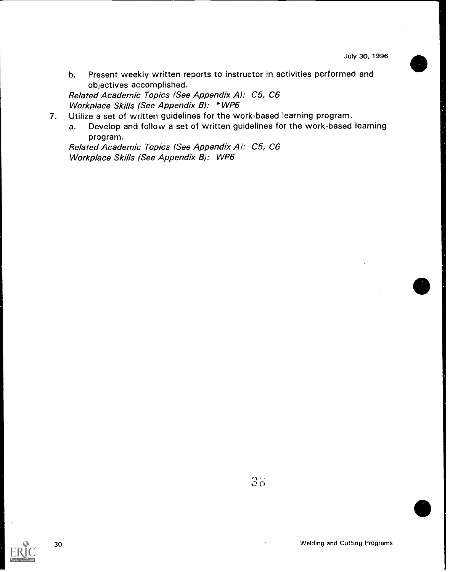b. Present weekly written reports to instructor in activities performed and objectives accomplished.

Related Academic Topics (See Appendix A): C5, C6 Workplace Skills (See Appendix B): \*WP6

7. Utilize a set of written guidelines for the work-based learning program.

a. Develop and follow a set of written guidelines for the work-based learning program.

Related Academic Topics (See Appendix A): C5, C6 Workplace Skills (See Appendix B): WP6



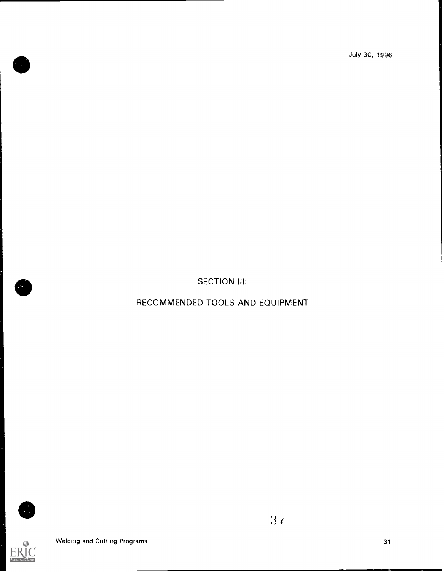SECTION III:

RECOMMENDED TOOLS AND EQUIPMENT



E



3 r'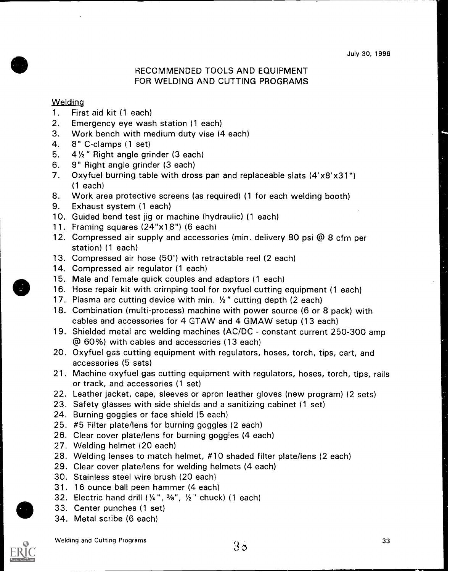## RECOMMENDED TOOLS AND EQUIPMENT FOR WELDING AND CUTTING PROGRAMS

#### **Welding**

- 1. First aid kit (1 each)
- 2. Emergency eye wash station (1 each)
- 3. Work bench with medium duty vise (4 each)
- 4. 8" C-clamps (1 set)
- 5.  $4\frac{1}{2}$  " Right angle grinder (3 each)
- 6. 9" Right angle grinder (3 each)
- 7. Oxyfuel burning table with dross pan and replaceable slats (4'x8'x31") (1 each)
- 8. Work area protective screens (as required) (1 for each welding booth)
- 9. Exhaust system (1 each)
- 10. Guided bend test jig or machine (hydraulic) (1 each)
- 11. Framing squares (24"x 1 8") (6 each)
- 12. Compressed air supply and accessories (min. delivery 80 psi @ 8 cfm per station) (1 each)
- 13. Compressed air hose (50') with retractable reel (2 each)
- 14. Compressed air regulator (1 each)
- 15. Male and female quick couples and adaptors (1 each)
- 16. Hose repair kit with crimping tool for oxyfuel cutting equipment (1 each)
- 17. Plasma arc cutting device with min.  $\frac{1}{2}$  " cutting depth (2 each)
- 18. Combination (multi-process) machine with power source (6 or 8 pack) with cables and accessories for 4 GTAW and 4 GMAW setup (13 each)
- 19. Shielded metal arc welding machines (AC/DC constant current 250-300 amp @ 60%) with cables and accessories (13 each)
- 20. Oxyfuel gas cutting equipment with regulators, hoses, torch, tips, cart, and accessories (5 sets)
- 21. Machine oxyfuel gas cutting equipment with regulators, hoses, torch, tips, rails or track, and accessories (1 set)
- 22. Leather jacket, cape, sleeves or apron leather gloves (new program) (2 sets)
- 23. Safety glasses with side shields and a sanitizing cabinet (1 set)
- 24. Burning goggles or face shield (5 each)
- 25. #5 Filter plate/lens for burning goggles (2 each)
- 26. Clear cover plate/lens for burning goggles (4 each)
- 27. Welding helmet (20 each)
- 28. Welding lenses to match helmet, #10 shaded filter plate/lens (2 each)
- 29. Clear cover plate/lens for welding helmets (4 each)
- 30. Stainless steel wire brush (20 each)
- 31. 16 ounce ball peen hammer (4 each)
- 32. Electric hand drill  $(X^*, \mathcal{V}_8", Y^*$  chuck) (1 each)
- 33. Center punches (1 set)
- 34. Metal scribe (6 each)



Welding and Cutting Programs  $33$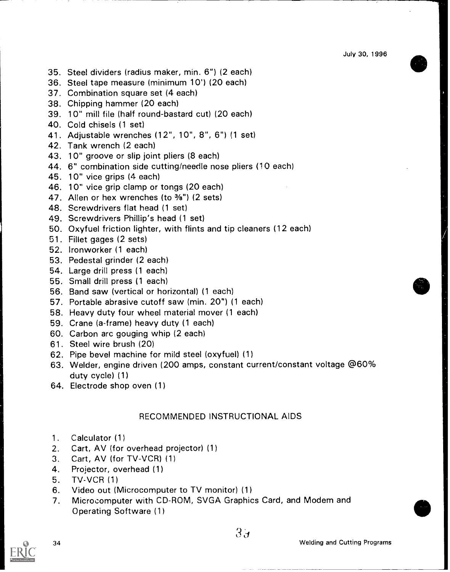- 35. Steel dividers (radius maker, min. 6") (2 each)
- 36. Steel tape measure (minimum 10') (20 each)
- 37. Combination square set (4 each)
- 38. Chipping hammer (20 each)
- 39. 10" mill file (half round-bastard cut) (20 each)
- 40. Cold chisels (1 set)
- 41. Adjustable wrenches (12", 10", 8", 6") (1 set)
- 42. Tank wrench (2 each)
- 43. 10" groove or slip joint pliers (8 each)
- 44. 6" combination side cutting/needle nose pliers (10 each)
- 45. 10" vice grips (4 each)
- 46. 10" vice grip clamp or tongs (20 each)
- 47. Allen or hex wrenches (to <sup>3/8"</sup>) (2 sets)
- 48. Screwdrivers flat head (1 set)
- 49. Screwdrivers Phillip's head (1 set)
- 50. Oxyfuel friction lighter, with flints and tip cleaners (12 each)
- 51. Fillet gages (2 sets)
- 52. Ironworker (1 each)
- 53. Pedestal grinder (2 each)
- 54. Large drill press (1 each)
- 55. Small drill press (1 each)
- 56. Band saw (vertical or horizontal) (1 each)
- 57. Portable abrasive cutoff saw (min. 20") (1 each)
- 58. Heavy duty four wheel material mover (1 each)
- 59. Crane (a-frame) heavy duty (1 each)
- 60. Carbon arc gouging whip (2 each)
- 61. Steel wire brush (20)
- 62. Pipe bevel machine for mild steel (oxyfuel) (1)
- 63. Welder, engine driven (200 amps, constant current/constant voltage @60% duty cycle) (1)
- 64. Electrode shop oven (1)

## RECOMMENDED INSTRUCTIONAL AIDS

- 1. Calculator (1)
- 2. Cart, AV (for overhead projector) (1)
- 3. Cart, AV (for TV-VCR) (1)
- 4. Projector, overhead (1)
- 5. TV-VCR (1)
- 6. Video out (Microcomputer to TV monitor) (1)
- 7. Microcomputer with CD-ROM, SVGA Graphics Card, and Modem and Operating Software (1)

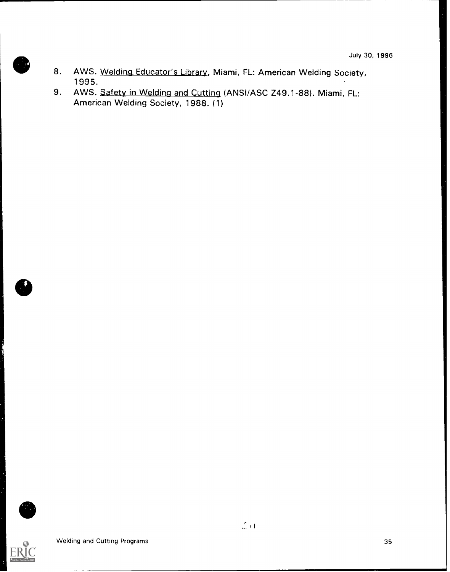- 8. AWS. Welding Educator's Library, Miami, FL: American Welding Society, 1995.
- 9. AWS. Safety in Welding and Cutting (ANSI/ASC Z49.1-88). Miami, FL: American Welding Society, 1988. (1)



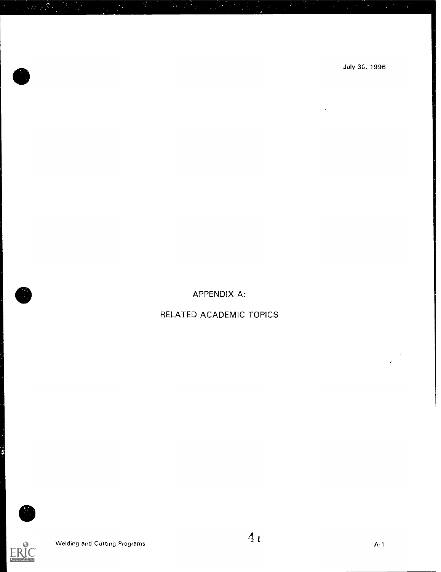July 3C, 1996

APPENDIX A:

## RELATED ACADEMIC TOPICS

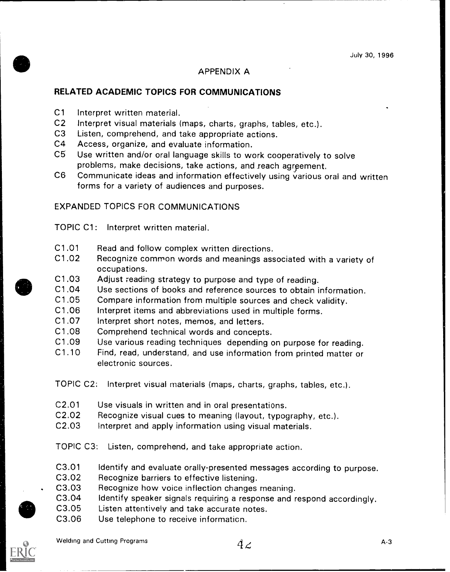#### APPENDIX A

## RELATED ACADEMIC TOPICS FOR COMMUNICATIONS

- C1 Interpret written material.<br>C2 Interpret visual materials (
- C2 Interpret visual materials (maps, charts, graphs, tables, etc.).<br>C3 Listen, comprehend, and take appropriate actions
- Listen, comprehend, and take appropriate actions.
- C4 Access, organize, and evaluate information.
- C5 Use written and/or oral language skills to work cooperatively to solve problems, make decisions, take actions, and reach agrgement.
- C6 Communicate ideas and information effectively using various oral and written forms for a variety of audiences and purposes.

## EXPANDED TOPICS FOR COMMUNICATIONS

TOPIC C1: Interpret written material.

- C1.01 Read and follow complex written directions.
- C1.02 Recognize common words and meanings associated with a variety of occupations.
- C1.03 Adjust reading strategy to purpose and type of reading.<br>C1.04 Use sections of books and reference sources to obtain in
- Use sections of books and reference sources to obtain information.
- C1.05 Compare information from multiple sources and check validity.<br>C1.06 Interpret items and abbreviations used in multiple forms.
- C1.06 Interpret items and abbreviations used in multiple forms.<br>C1.07 Interpret short notes, memos, and letters
- Interpret short notes, memos, and letters.
- C1.08 Comprehend technical words and concepts.
- C1.09 Use various reading techniques depending on purpose for reading.<br>C1.10 Find. read. understand, and use information from printed matter or
- Find, read, understand, and use information from printed matter or electronic sources.

TOPIC 02: Interpret visual materials (maps, charts, graphs, tables, etc.).

- C2.01 Use visuals in written and in oral presentations.
- C2.02 Recognize visual cues to meaning (layout, typography, etc.).
- C2.03 Interpret and apply information using visual materials.

TOPIC C3: Listen, comprehend, and take appropriate action.

- C3.01 Identify and evaluate orally-presented messages according to purpose.
- C3.02 Recognize barriers to effective listening.
- C3.03 Recognize how voice inflection changes meaning.
- C3.04 Identify speaker signals requiring a response and respond accordingly.
- C3.05 Listen attentively and take accurate notes.
- C3.06 Use telephone to receive informaticn.

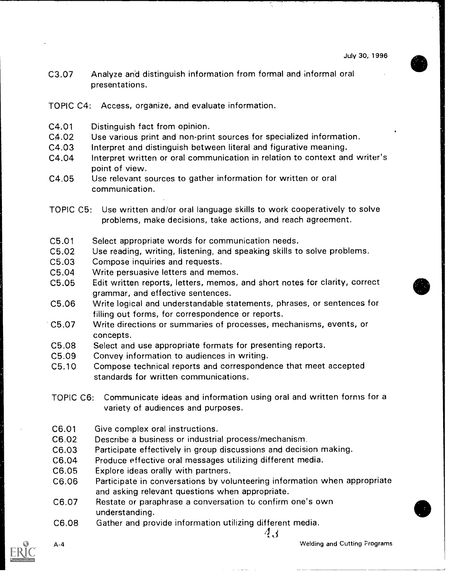03.07 Analyze and distinguish information from formal and informal oral presentations.

TOPIC C4: Access, organize, and evaluate information.

- C4.01 Distinguish fact from opinion.
- 04.02 Use various print and non-print sources for specialized information.
- C4.03 Interpret and distinguish between literal and figurative meaning.
- C4.04 Interpret written or oral communication in relation to context and writer's point of view.
- C4.05 Use relevant sources to gather information for written or oral communication.
- TOPIC C5: Use written and/or oral language skills to work cooperatively to solve problems, make decisions, take actions, and reach agreement.
- C5.01 Select appropriate words for communication needs.
- C5.02 Use reading, writing, listening, and speaking skills to solve problems.
- 05.03 Compose inquiries and requests.
- 05.04 Write persuasive letters and memos.
- 05.05 Edit written reports, letters, memos, and short notes for clarity, correct grammar, and effective sentences.
- 05.06 Write logical and understandable statements, phrases, or sentences for filling out forms, for correspondence or reports.
- C5.07 Write directions or summaries of processes, mechanisms, events, or concepts.
- C5.08 Select and use appropriate formats for presenting reports.
- C5.09 Convey information to audiences in writing.
- C5.10 Compose technical reports and correspondence that meet accepted standards for written communications.
- TOPIC 06: Communicate ideas and information using oral and written forms for a variety of audiences and purposes.
- C6.01 Give complex oral instructions.
- C6.02 Describe a business or industrial process/mechanism.
- 06.03 Participate effectively in group discussions and decision making.
- C6.04 Produce effective oral messages utilizing different media.
- C6.05 Explore ideas orally with partners.
- C6.06 Participate in conversations by volunteering information when appropriate and asking relevant questions when appropriate.
- 06.07 Restate or paraphrase a conversation to confirm one's own understanding.
- 06.08 Gather and provide information utilizing different media.  $(4, 4)$



A-4 Welding and Cutting Programs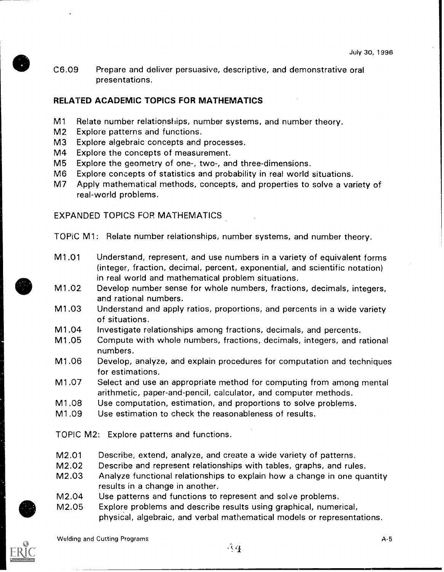C6.09 Prepare and deliver persuasive, descriptive, and demonstrative oral presentations.

#### RELATED ACADEMIC TOPICS FOR MATHEMATICS

- M1 Relate number relationships, number systems, and number theory.
- M2 Explore patterns and functions.
- M3 Explore algebraic concepts and processes.
- M4 Explore the concepts of measurement.
- M5 Explore the geometry of one-, two-, and three-dimensions.
- M6 Explore concepts of statistics and probability in real world situations.
- M7 Apply mathematical methods, concepts, and properties to solve a variety of real-world problems.

EXPANDED TOPICS FOR MATHEMATICS

TOPiC Ml: Relate number relationships, number systems, and number theory.

- M1.01 Understand, represent, and use numbers in a variety of equivalent forms (integer, fraction, decimal, percent, exponential, and scientific notation) in real world and mathematical problem situations.
- M1.02 Develop number sense for whole numbers, fractions, decimals, integers, and rational numbers.
- M1.03 Understand and apply ratios, proportions, and percents in a wide variety of situations.
- M1.04 Investigate relationships among fractions, decimals, and percents.
- M1.05 Compute with whole numbers, fractions, decimals, integers, and rational numbers.
- M1.06 Develop, analyze, and explain procedures for computation and techniques for estimations.
- M1.07 Select and use an appropriate method for computing from among mental arithmetic, paper-and-pencil, calculator, and computer methods.
- M1.08 Use computation, estimation, and proportions to solve problems.
- M1.09 Use estimation to check the reasonableness of results.

TOPIC M2: Explore patterns and functions.

- M2.01 Describe, extend, analyze, and create a wide variety of patterns.
- M2.02 Describe and represent relationships with tables, graphs, and rules.
- M2.03 Analyze functional relationships to explain how a change in one quantity results in a change in another.
- M2.04 Use patterns and functions to represent and solve problems.
- M2.05 Explore problems and describe results using graphical, numerical, physical, algebraic, and verbal mathematical models or representations.



Welding and Cutting Programs A-5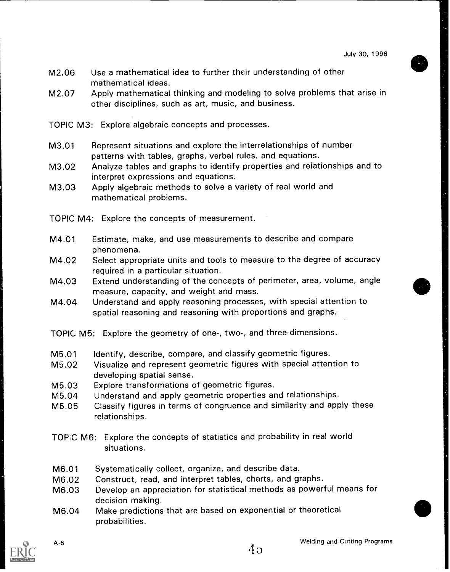- M2.06 Use a mathematical idea to further their understanding of other mathematical ideas.
- M2.07 Apply mathematical thinking and modeling to solve problems that arise in other disciplines, such as art, music, and business.
- TOPIC M3: Explore algebraic concepts and processes.
- M3.01 Represent situations and explore the interrelationships of number patterns with tables, graphs, verbal rules, and equations.
- M3.02 Analyze tables and graphs to identify properties and relationships and to interpret expressions and equations.
- M3.03 Apply algebraic methods to solve a variety of real world and mathematical problems.
- TOPIC M4: Explore the concepts of measurement.
- M4.01 Estimate, make, and use measurements to describe and compare phenomena.
- M4.02 Select appropriate units and tools to measure to the degree of accuracy required in a particular situation.
- M4.03 Extend understanding of the concepts of perimeter, area, volume, angle measure, capacity, and weight and mass.
- M4.04 Understand and apply reasoning processes, with special attention to spatial reasoning and reasoning with proportions and graphs.
- TOPIC M5: Explore the geometry of one-, two-, and three-dimensions.
- M5.01 Identify, describe, compare, and classify geometric figures.
- M5.02 Visualize and represent geometric figures with special attention to developing spatial sense.
- M5.03 Explore transformations of geometric figures.
- M5.04 Understand and apply geometric properties and relationships.
- M5.05 Classify figures in terms of congruence and similarity and apply these relationships.
- TOPIC M6: Explore the concepts of statistics and probability in real world situations.
- M6.01 Systematically collect, organize, and describe data.
- M6.02 Construct, read, and interpret tables, charts, and graphs.
- M6.03 Develop an appreciation for statistical methods as powerful means for decision making.
- M6.04 Make predictions that are based on exponential or theoretical probabilities.

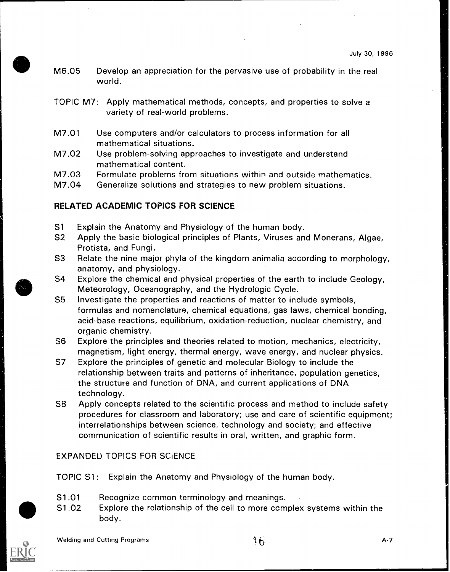- M6.05 Develop an appreciation for the pervasive use of probability in the real world.
- TOPIC M7: Apply mathematical methods, concepts, and properties to solve a variety of real-world problems.
- M7.01 Use computers and/or calculators to process information for all mathematical situations.
- M7.02 Use problem-solving approaches to investigate and understand mathematical content.
- M7.03 Formulate problems from situations within and outside mathematics.
- M7.04 Generalize solutions and strategies to new problem situations.

## RELATED ACADEMIC TOPICS FOR SCIENCE

- S1 Explain the Anatomy and Physiology of the human body.
- S2 Apply the basic biological principles of Plants, Viruses and Monerans, Algae, Protista, and Fungi.
- S3 Relate the nine major phyla of the kingdom animalia according to morphology, anatomy, and physiology.
- S4 Explore the chemical and physical properties of the earth to include Geology, Meteorology, Oceanography, and the Hydrologic Cycle.
- S5 Investigate the properties and reactions of matter to include symbols, formulas and nomenclature, chemical equations, gas laws, chemical bonding, acid-base reactions, equilibrium, oxidation-reduction, nuclear chemistry, and organic chemistry.
- S6 Explore the principles and theories related to motion, mechanics, electricity, magnetism, light energy, thermal energy, wave energy, and nuclear physics.
- S7 Explore the principles of genetic and molecular Biology to include the relationship between traits and patterns of inheritance, population genetics, the structure and function of DNA, and current applications of DNA technology.
- S8 Apply concepts related to the scientific process and method to include safety procedures for classroom and laboratory; use and care of scientific equipment; interrelationships between science, technology and society; and effective communication of scientific results in oral, written, and graphic form.

## EXPANDED TOPICS FOR SCIENCE

TOPIC Sl: Explain the Anatomy and Physiology of the human body.

- S1.01 Recognize common terminology and meanings.
- S1.02 Explore the relationship of the cell to more complex systems within the body.

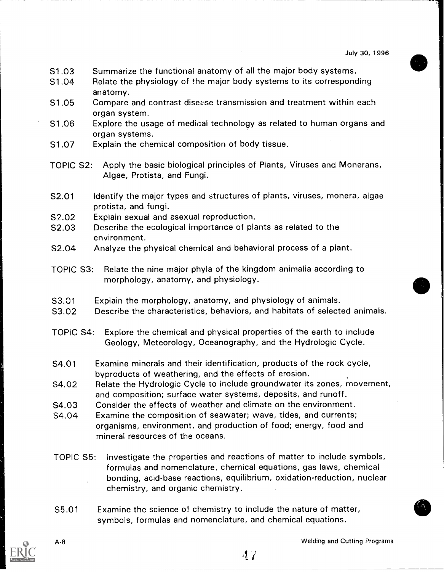- S1.03 Summarize the functional anatomy of all the major body systems.
- S1.04 Relate the physiology of the major body systems to its corresponding anatomy.
- S1.05 Compare and contrast disease transmission and treatment within each organ system.
- S1.06 Explore the usage of medical technology as related to human organs and organ systems.
- S1.07 Explain the chemical composition of body tissue.
- TOPIC S2: Apply the basic biological principles of Plants, Viruses and Monerans, Algae, Protista, and Fungi.
- S2.01 Identify the major types and structures of plants, viruses, monera, algae protista, and fungi.
- S2.02 Explain sexual and asexual reproduction.
- S2.03 Describe the ecological importance of plants as related to the environment.
- S2.04 Analyze the physical chemical and behavioral process of a plant.
- TOPIC S3: Relate the nine major phyla of the kingdom animalia according to morphology, anatomy, and physiology.
- S3.01 Explain the morphology, anatomy, and physiology of animals.
- S3.02 Describe the characteristics, behaviors, and habitats of selected animals.
- TOPIC S4: Explore the chemical and physical properties of the earth to include Geology, Meteorology, Oceanography, and the Hydrologic Cycle.
- S4.01 Examine minerals and their identification, products of the rock cycle, byproducts of weathering, and the effects of erosion.
- S4.02 Relate the Hydrologic Cycle to include groundwater its zones, movement, and composition; surface water systems, deposits, and runoff.
- S4.03 Consider the effects of weather and climate on the environment.
- S4.04 Examine the composition of seawater; wave, tides, and currents; organisms, environment, and production of food; energy, food and mineral resources of the oceans.
- TOPIC S5: Investigate the properties and reactions of matter to include symbols, formulas and nomenclature, chemical equations, gas laws, chemical bonding, acid-base reactions, equilibrium, oxidation-reduction, nuclear chemistry, and organic chemistry.
- S5.01 Examine the science of chemistry to include the nature of matter, symbols, formulas and nomenclature, and chemical equations.

A-8 Welding and Cutting Programs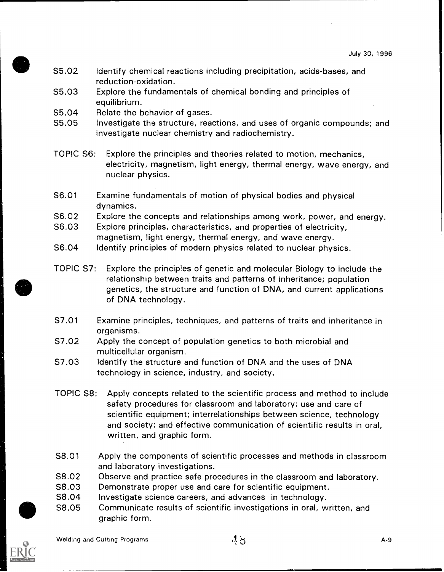- S5.02 Identify chemical reactions including precipitation, acids-bases, and reduction-oxidation.
- S5.03 Explore the fundamentals of chemical bonding and principles of equilibrium.
- S5.04 Relate the behavior of gases.
- S5.05 Investigate the structure, reactions, and uses of organic compounds; and investigate nuclear chemistry and radiochemistry.
- TOPIC S6: Explore the principles and theories related to motion, mechanics, electricity, magnetism, light energy, thermal energy, wave energy, and nuclear physics.
- S6.01 Examine fundamentals of motion of physical bodies and physical dynamics.
- S6.02 Explore the concepts and relationships among work, power, and energy.
- S6.03 Explore principles, characteristics, and properties of electricity, magnetism, light energy, thermal energy, and wave energy.
- S6.04 Identify principles of modern physics related to nuclear physics.
- TOPIC S7: Explore the principles of genetic and molecular Biology to include the relationship between traits and patterns of inheritance; population genetics, the structure and function of DNA, and current applications of DNA technology.
- 57.01 Examine principles, techniques, and patterns of traits and inheritance in organisms.
- S7.02 Apply the concept of population genetics to both microbial and multicellular organism.
- S7.03 Identify the structure and function of DNA and the uses of DNA technology in science, industry, and society.
- TOPIC S8: Apply concepts related to the scientific process and method to include safety procedures for classroom and laboratory; use and care of scientific equipment; interrelationships between science, technology and society; and effective communication of scientific results in oral, written, and graphic form.
- S8.01 Apply the components of scientific processes and methods in classroom and laboratory investigations.
- S8.02 Observe and practice safe procedures in the classroom and laboratory.
- S8.03 Demonstrate proper use and care for scientific equipment.
- S8.04 Investigate science careers, and advances in technology.
- S8.05 Communicate results of scientific investigations in oral, written, and graphic form.

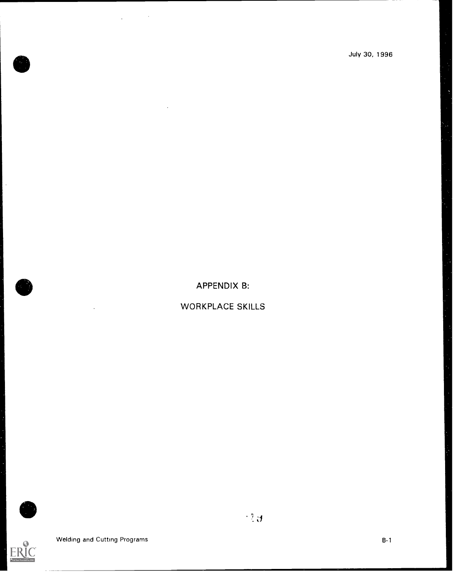APPENDIX B:

WORKPLACE SKILLS



EF

 $\hat{\mathcal{A}}$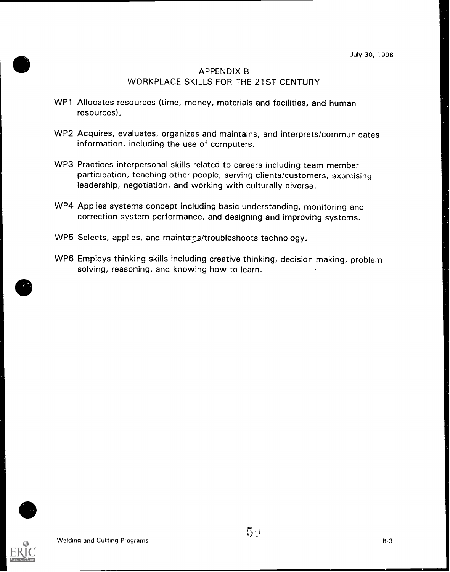## APPENDIX B WORKPLACE SKILLS FOR THE 21ST CENTURY

- WP1 Allocates resources (time, money, materials and facilities, and human resources).
- WP2 Acquires, evaluates, organizes and maintains, and interprets/communicates information, including the use of computers.
- WP3 Practices interpersonal skills related to careers including team member participation, teaching other people, serving clients/customers, exercising leadership, negotiation, and working with culturally diverse.
- WP4 Applies systems concept including basic understanding, monitoring and correction system performance, and designing and improving systems.
- WP5 Selects, applies, and maintains/troubleshoots technology.
- WP6 Employs thinking skills including creative thinking, decision making, problem solving, reasoning, and knowing how to learn.

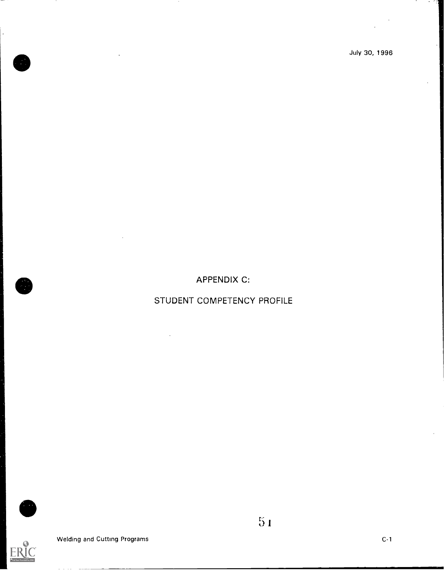APPENDIX C:

## STUDENT COMPETENCY PROFILE

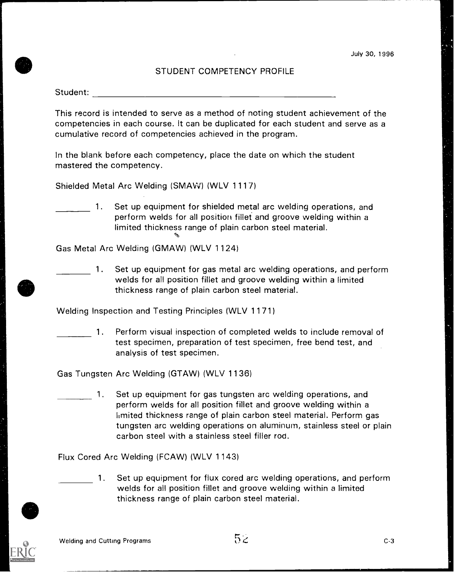#### STUDENT COMPETENCY PROFILE

Student:

This record is intended to serve as a method of noting student achievement of the competencies in each course. It can be duplicated for each student and serve as a cumulative record of competencies achieved in the program.

In the blank before each competency, place the date on which the student mastered the competency.

Shielded Metal Arc Welding (SMAW) (WLV 1117)

1. Set up equipment for shielded metal arc welding operations, and perform welds for all position fillet and groove welding within a limited thickness range of plain carbon steel material.

Gas Metal Arc Welding (GMAW) (WLV 1124)

1. Set up equipment for gas metal arc welding operations, and perform welds for all position fillet and groove welding within a limited thickness range of plain carbon steel material.

Welding Inspection and Testing Principles (WLV 1171)

1. Perform visual inspection of completed welds to include removal of test specimen, preparation of test specimen, free bend test, and analysis of test specimen.

Gas Tungsten Arc Welding (GTAW) (WLV 1136)

1. Set up equipment for gas tungsten arc welding operations, and perform welds for all position fillet and groove welding within a hmited thickness range of plain carbon steel material. Perform gas tungsten arc welding operations on aluminum, stainless steel or plain carbon steel with a stainless steel filler rod.

Flux Cored Arc Welding (FCAW) (WLV 1143)

1. Set up equipment for flux cored arc welding operations, and perform welds for all position fillet and groove welding within a limited thickness range of plain carbon steel material.

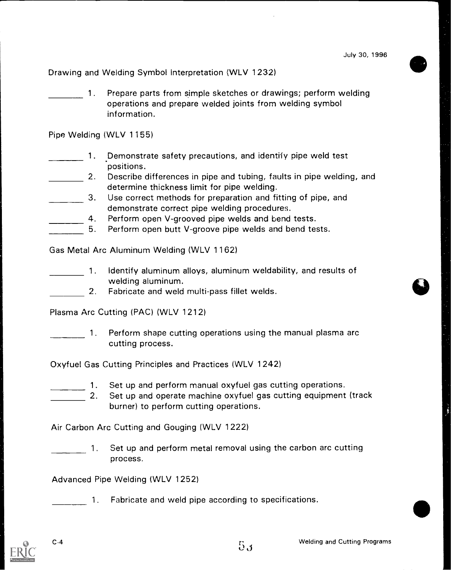Drawing and Welding Symbol Interpretation (WLV 1232)

1. Prepare parts from simple sketches or drawings; perform welding operations and prepare welded joints from welding symbol information.

Pipe Welding (WLV 1155)

- 1. Demonstrate safety precautions, and identify pipe weld test positions.
- **2.** Describe differences in pipe and tubing, faults in pipe welding, and determine thickness limit for pipe welding.
- 3. Use correct methods for preparation and fitting of pipe, and demonstrate correct pipe welding procedures.
	- 4. Perform open V-grooved pipe welds and bend tests.
- 5. Perform open butt V-groove pipe welds and bend tests.

Gas Metal Arc Aluminum Welding (WLV 1162)

- 1. Identify aluminum alloys, aluminum weldability, and results of welding aluminum.
	- 2. Fabricate and weld multi-pass fillet welds.

Plasma Arc Cutting (PAC) (WLV 1212)

1. Perform shape cutting operations using the manual plasma arc cutting process.

Oxyfuel Gas Cutting Principles and Practices (WLV 1242)

- 1. Set up and perform manual oxyfuel gas cutting operations.
	- 2. Set up and operate machine oxyfuel gas cutting equipment (track burner) to perform cutting operations.

Air Carbon Arc Cutting and Gouging (WLV 1222)

1. Set up and perform metal removal using the carbon arc cutting process.

Advanced Pipe Welding (WLV 1252)

1. Fabricate and weld pipe according to specifications.